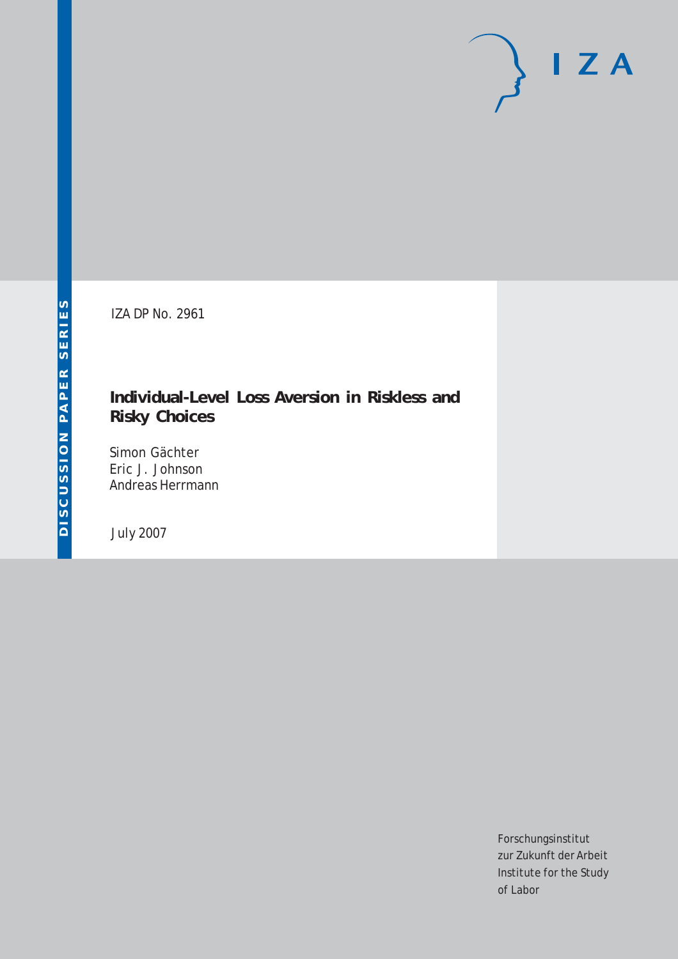# $I Z A$

IZA DP No. 2961

# **Individual-Level Loss Aversion in Riskless and Risky Choices**

Simon Gächter Eric J. Johnson Andreas Herrmann

July 2007

Forschungsinstitut zur Zukunft der Arbeit Institute for the Study of Labor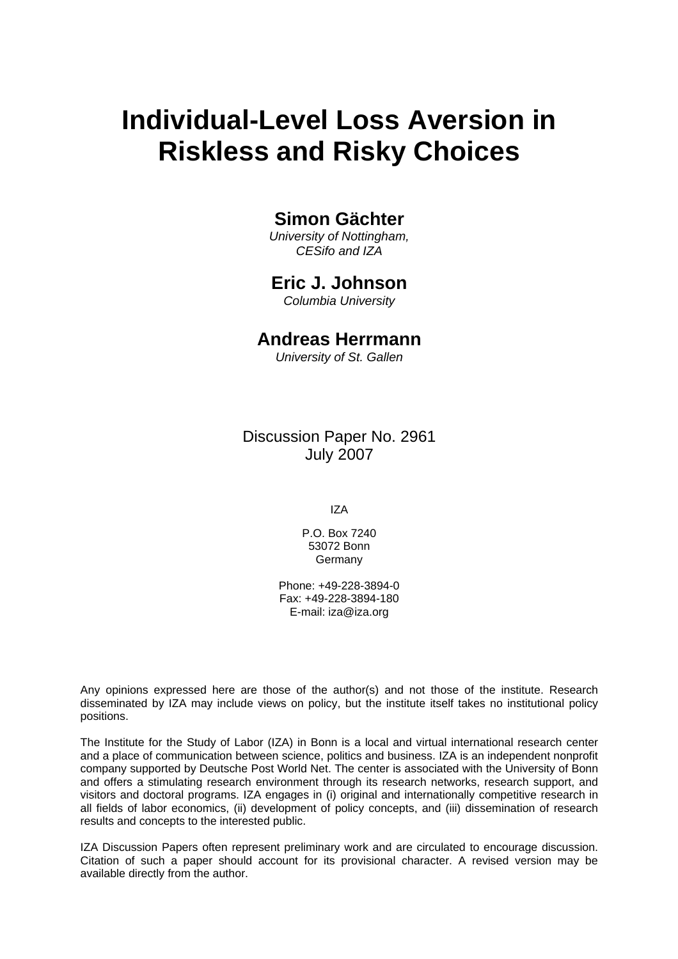# **Individual-Level Loss Aversion in Riskless and Risky Choices**

# **Simon Gächter**

*University of Nottingham, CESifo and IZA* 

# **Eric J. Johnson**

*Columbia University* 

# **Andreas Herrmann**

*University of St. Gallen* 

Discussion Paper No. 2961 July 2007

IZA

P.O. Box 7240 53072 Bonn **Germany** 

Phone: +49-228-3894-0 Fax: +49-228-3894-180 E-mail: [iza@iza.org](mailto:iza@iza.org)

Any opinions expressed here are those of the author(s) and not those of the institute. Research disseminated by IZA may include views on policy, but the institute itself takes no institutional policy positions.

The Institute for the Study of Labor (IZA) in Bonn is a local and virtual international research center and a place of communication between science, politics and business. IZA is an independent nonprofit company supported by Deutsche Post World Net. The center is associated with the University of Bonn and offers a stimulating research environment through its research networks, research support, and visitors and doctoral programs. IZA engages in (i) original and internationally competitive research in all fields of labor economics, (ii) development of policy concepts, and (iii) dissemination of research results and concepts to the interested public.

IZA Discussion Papers often represent preliminary work and are circulated to encourage discussion. Citation of such a paper should account for its provisional character. A revised version may be available directly from the author.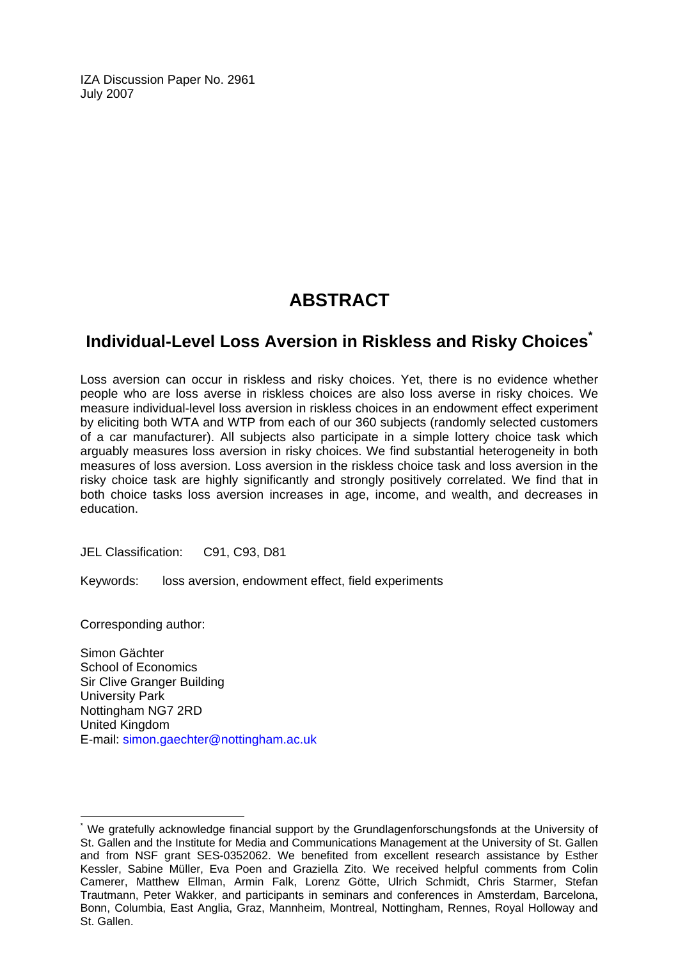IZA Discussion Paper No. 2961 July 2007

# **ABSTRACT**

# **Individual-Level Loss Aversion in Riskless and Risky Choices[\\*](#page-2-0)**

Loss aversion can occur in riskless and risky choices. Yet, there is no evidence whether people who are loss averse in riskless choices are also loss averse in risky choices. We measure individual-level loss aversion in riskless choices in an endowment effect experiment by eliciting both WTA and WTP from each of our 360 subjects (randomly selected customers of a car manufacturer). All subjects also participate in a simple lottery choice task which arguably measures loss aversion in risky choices. We find substantial heterogeneity in both measures of loss aversion. Loss aversion in the riskless choice task and loss aversion in the risky choice task are highly significantly and strongly positively correlated. We find that in both choice tasks loss aversion increases in age, income, and wealth, and decreases in education.

JEL Classification: C91, C93, D81

Keywords: loss aversion, endowment effect, field experiments

Corresponding author:

 $\overline{a}$ 

Simon Gächter School of Economics Sir Clive Granger Building University Park Nottingham NG7 2RD United Kingdom E-mail: [simon.gaechter@nottingham.ac.uk](mailto:simon.gaechter@nottingham.ac.uk)

<span id="page-2-0"></span><sup>\*</sup> We gratefully acknowledge financial support by the Grundlagenforschungsfonds at the University of St. Gallen and the Institute for Media and Communications Management at the University of St. Gallen and from NSF grant SES-0352062. We benefited from excellent research assistance by Esther Kessler, Sabine Müller, Eva Poen and Graziella Zito. We received helpful comments from Colin Camerer, Matthew Ellman, Armin Falk, Lorenz Götte, Ulrich Schmidt, Chris Starmer, Stefan Trautmann, Peter Wakker, and participants in seminars and conferences in Amsterdam, Barcelona, Bonn, Columbia, East Anglia, Graz, Mannheim, Montreal, Nottingham, Rennes, Royal Holloway and St. Gallen.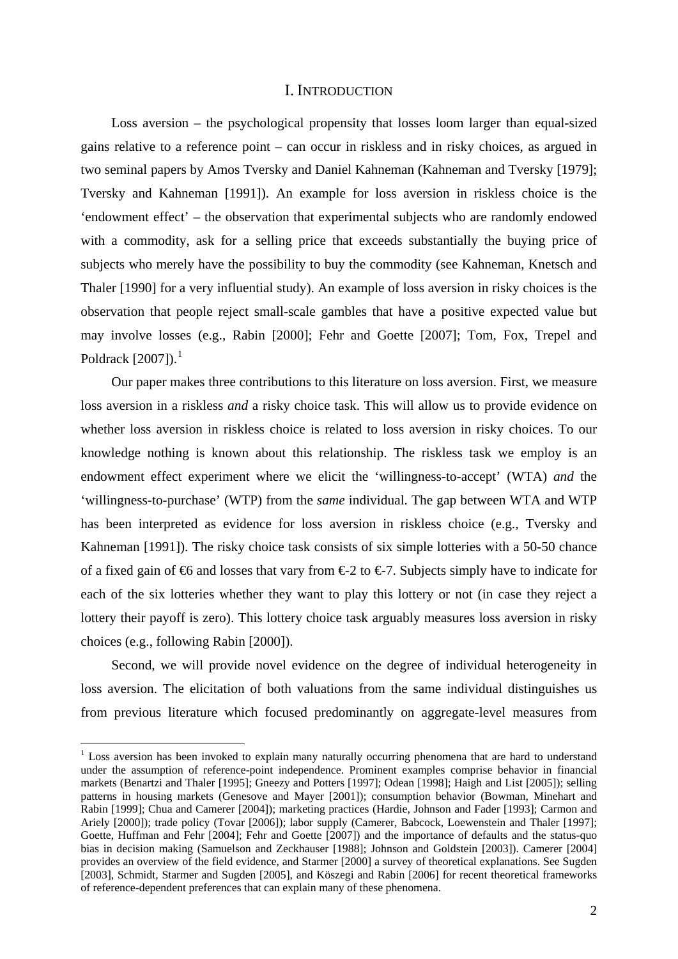### I. INTRODUCTION

Loss aversion – the psychological propensity that losses loom larger than equal-sized gains relative to a reference point – can occur in riskless and in risky choices, as argued in two seminal papers by Amos Tversky and Daniel Kahneman (Kahneman and Tversky [1979]; Tversky and Kahneman [1991]). An example for loss aversion in riskless choice is the 'endowment effect' – the observation that experimental subjects who are randomly endowed with a commodity, ask for a selling price that exceeds substantially the buying price of subjects who merely have the possibility to buy the commodity (see Kahneman, Knetsch and Thaler [1990] for a very influential study). An example of loss aversion in risky choices is the observation that people reject small-scale gambles that have a positive expected value but may involve losses (e.g., Rabin [2000]; Fehr and Goette [2007]; Tom, Fox, Trepel and Poldrack  $[2007]$ ).<sup>[1](#page-3-0)</sup>

Our paper makes three contributions to this literature on loss aversion. First, we measure loss aversion in a riskless *and* a risky choice task. This will allow us to provide evidence on whether loss aversion in riskless choice is related to loss aversion in risky choices. To our knowledge nothing is known about this relationship. The riskless task we employ is an endowment effect experiment where we elicit the 'willingness-to-accept' (WTA) *and* the 'willingness-to-purchase' (WTP) from the *same* individual. The gap between WTA and WTP has been interpreted as evidence for loss aversion in riskless choice (e.g., Tversky and Kahneman [1991]). The risky choice task consists of six simple lotteries with a 50-50 chance of a fixed gain of  $\Theta$  and losses that vary from  $\epsilon$ 2 to  $\epsilon$ 7. Subjects simply have to indicate for each of the six lotteries whether they want to play this lottery or not (in case they reject a lottery their payoff is zero). This lottery choice task arguably measures loss aversion in risky choices (e.g., following Rabin [2000]).

Second, we will provide novel evidence on the degree of individual heterogeneity in loss aversion. The elicitation of both valuations from the same individual distinguishes us from previous literature which focused predominantly on aggregate-level measures from

<u>.</u>

<span id="page-3-0"></span><sup>&</sup>lt;sup>1</sup> Loss aversion has been invoked to explain many naturally occurring phenomena that are hard to understand under the assumption of reference-point independence. Prominent examples comprise behavior in financial markets (Benartzi and Thaler [1995]; Gneezy and Potters [1997]; Odean [1998]; Haigh and List [2005]); selling patterns in housing markets (Genesove and Mayer [2001]); consumption behavior (Bowman, Minehart and Rabin [1999]; Chua and Camerer [2004]); marketing practices (Hardie, Johnson and Fader [1993]; Carmon and Ariely [2000]); trade policy (Tovar [2006]); labor supply (Camerer, Babcock, Loewenstein and Thaler [1997]; Goette, Huffman and Fehr [2004]; Fehr and Goette [2007]) and the importance of defaults and the status-quo bias in decision making (Samuelson and Zeckhauser [1988]; Johnson and Goldstein [2003]). Camerer [2004] provides an overview of the field evidence, and Starmer [2000] a survey of theoretical explanations. See Sugden [2003], Schmidt, Starmer and Sugden [2005], and Köszegi and Rabin [2006] for recent theoretical frameworks of reference-dependent preferences that can explain many of these phenomena.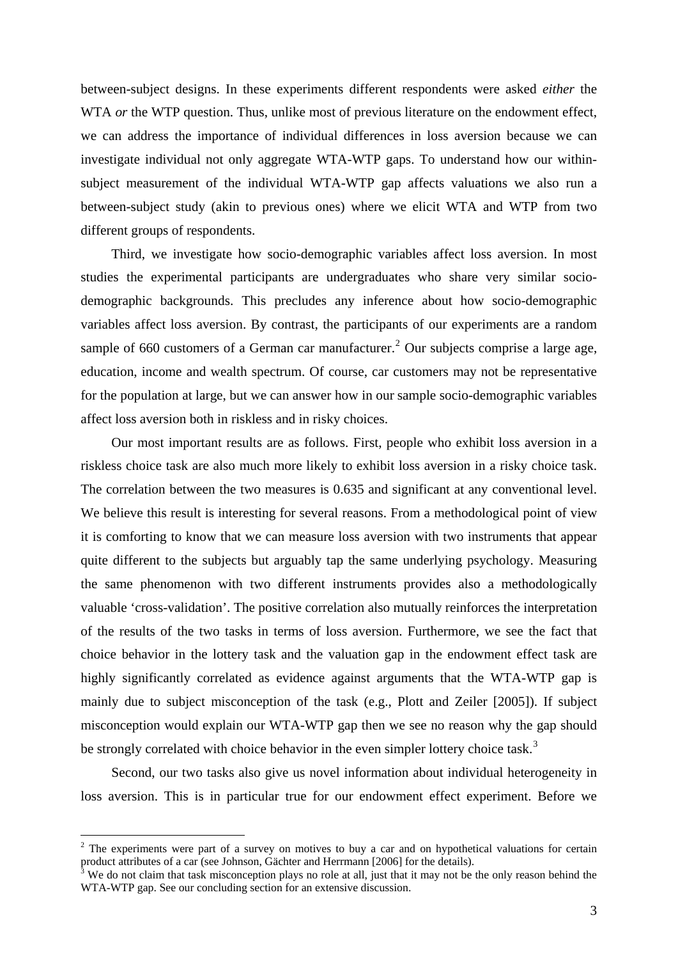between-subject designs. In these experiments different respondents were asked *either* the WTA *or* the WTP question. Thus, unlike most of previous literature on the endowment effect, we can address the importance of individual differences in loss aversion because we can investigate individual not only aggregate WTA-WTP gaps. To understand how our withinsubject measurement of the individual WTA-WTP gap affects valuations we also run a between-subject study (akin to previous ones) where we elicit WTA and WTP from two different groups of respondents.

Third, we investigate how socio-demographic variables affect loss aversion. In most studies the experimental participants are undergraduates who share very similar sociodemographic backgrounds. This precludes any inference about how socio-demographic variables affect loss aversion. By contrast, the participants of our experiments are a random sample of 660 customers of a German car manufacturer.<sup>[2](#page-4-0)</sup> Our subjects comprise a large age, education, income and wealth spectrum. Of course, car customers may not be representative for the population at large, but we can answer how in our sample socio-demographic variables affect loss aversion both in riskless and in risky choices.

Our most important results are as follows. First, people who exhibit loss aversion in a riskless choice task are also much more likely to exhibit loss aversion in a risky choice task. The correlation between the two measures is 0.635 and significant at any conventional level. We believe this result is interesting for several reasons. From a methodological point of view it is comforting to know that we can measure loss aversion with two instruments that appear quite different to the subjects but arguably tap the same underlying psychology. Measuring the same phenomenon with two different instruments provides also a methodologically valuable 'cross-validation'. The positive correlation also mutually reinforces the interpretation of the results of the two tasks in terms of loss aversion. Furthermore, we see the fact that choice behavior in the lottery task and the valuation gap in the endowment effect task are highly significantly correlated as evidence against arguments that the WTA-WTP gap is mainly due to subject misconception of the task (e.g., Plott and Zeiler [2005]). If subject misconception would explain our WTA-WTP gap then we see no reason why the gap should be strongly correlated with choice behavior in the even simpler lottery choice task.<sup>[3](#page-4-1)</sup>

Second, our two tasks also give us novel information about individual heterogeneity in loss aversion. This is in particular true for our endowment effect experiment. Before we

<span id="page-4-0"></span> $2$  The experiments were part of a survey on motives to buy a car and on hypothetical valuations for certain product attributes of a car (see Johnson, Gächter and Herrmann [2006] for the details).<br><sup>3</sup> We do not claim that task misconception plays no role at all, just that it may not be the only reason behind the

<span id="page-4-1"></span>WTA-WTP gap. See our concluding section for an extensive discussion.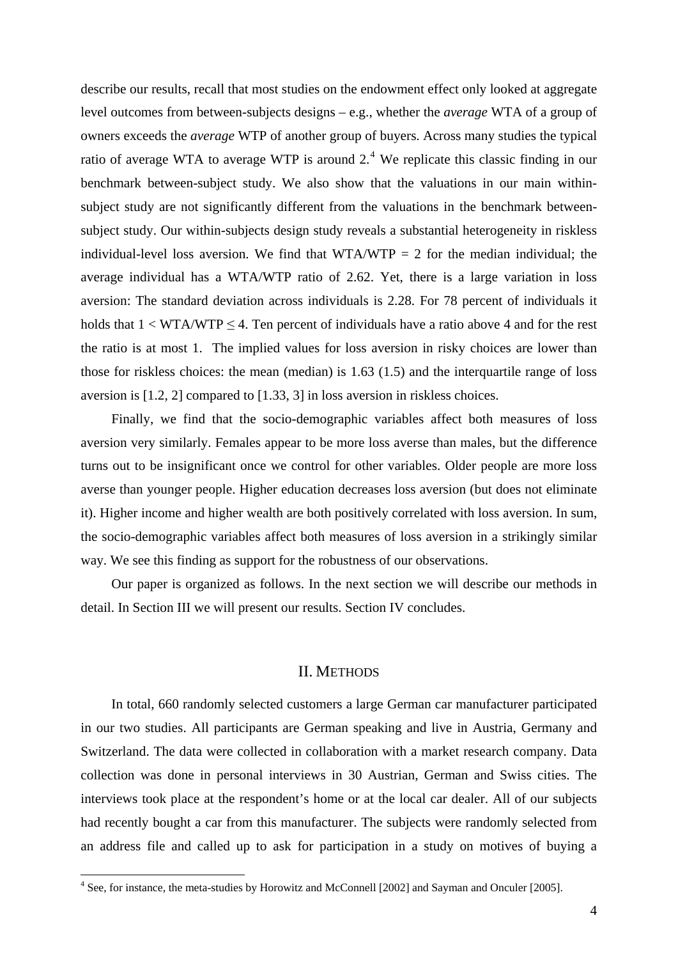describe our results, recall that most studies on the endowment effect only looked at aggregate level outcomes from between-subjects designs – e.g., whether the *average* WTA of a group of owners exceeds the *average* WTP of another group of buyers. Across many studies the typical ratio of average WTA to average WTP is around  $2<sup>4</sup>$  $2<sup>4</sup>$  $2<sup>4</sup>$  We replicate this classic finding in our benchmark between-subject study. We also show that the valuations in our main withinsubject study are not significantly different from the valuations in the benchmark betweensubject study. Our within-subjects design study reveals a substantial heterogeneity in riskless individual-level loss aversion. We find that  $WTA/WTP = 2$  for the median individual; the average individual has a WTA/WTP ratio of 2.62. Yet, there is a large variation in loss aversion: The standard deviation across individuals is 2.28. For 78 percent of individuals it holds that  $1 < WTA/WTP \le 4$ . Ten percent of individuals have a ratio above 4 and for the rest the ratio is at most 1. The implied values for loss aversion in risky choices are lower than those for riskless choices: the mean (median) is 1.63 (1.5) and the interquartile range of loss aversion is [1.2, 2] compared to [1.33, 3] in loss aversion in riskless choices.

Finally, we find that the socio-demographic variables affect both measures of loss aversion very similarly. Females appear to be more loss averse than males, but the difference turns out to be insignificant once we control for other variables. Older people are more loss averse than younger people. Higher education decreases loss aversion (but does not eliminate it). Higher income and higher wealth are both positively correlated with loss aversion. In sum, the socio-demographic variables affect both measures of loss aversion in a strikingly similar way. We see this finding as support for the robustness of our observations.

Our paper is organized as follows. In the next section we will describe our methods in detail. In Section III we will present our results. Section IV concludes.

### II. METHODS

In total, 660 randomly selected customers a large German car manufacturer participated in our two studies. All participants are German speaking and live in Austria, Germany and Switzerland. The data were collected in collaboration with a market research company. Data collection was done in personal interviews in 30 Austrian, German and Swiss cities. The interviews took place at the respondent's home or at the local car dealer. All of our subjects had recently bought a car from this manufacturer. The subjects were randomly selected from an address file and called up to ask for participation in a study on motives of buying a

<span id="page-5-0"></span><sup>&</sup>lt;sup>4</sup> See, for instance, the meta-studies by Horowitz and McConnell [2002] and Sayman and Onculer [2005].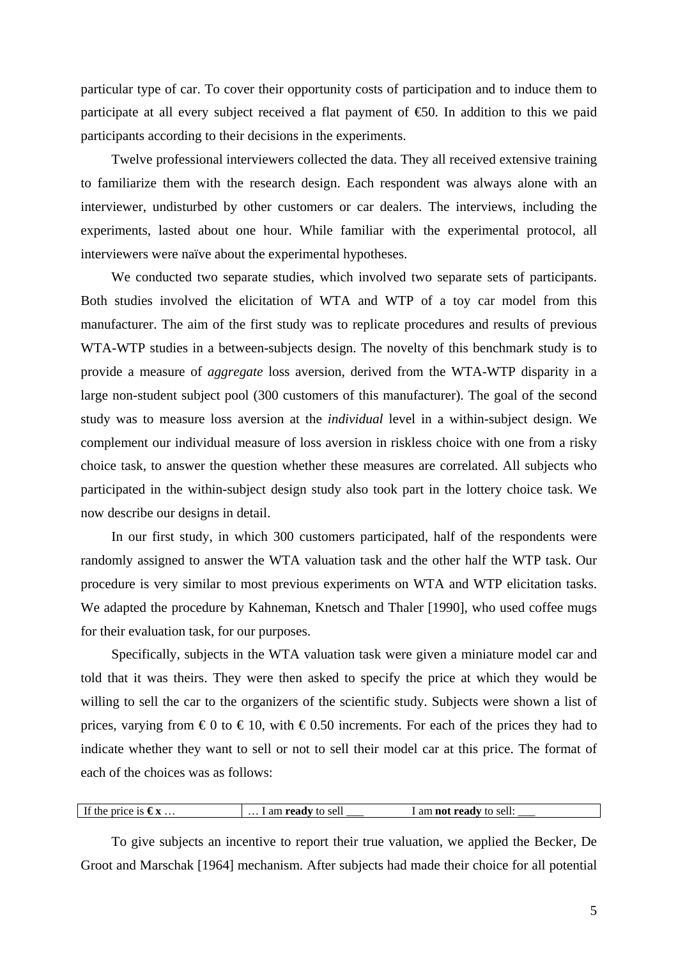particular type of car. To cover their opportunity costs of participation and to induce them to participate at all every subject received a flat payment of  $\epsilon$ 60. In addition to this we paid participants according to their decisions in the experiments.

Twelve professional interviewers collected the data. They all received extensive training to familiarize them with the research design. Each respondent was always alone with an interviewer, undisturbed by other customers or car dealers. The interviews, including the experiments, lasted about one hour. While familiar with the experimental protocol, all interviewers were naïve about the experimental hypotheses.

We conducted two separate studies, which involved two separate sets of participants. Both studies involved the elicitation of WTA and WTP of a toy car model from this manufacturer. The aim of the first study was to replicate procedures and results of previous WTA-WTP studies in a between-subjects design. The novelty of this benchmark study is to provide a measure of *aggregate* loss aversion, derived from the WTA-WTP disparity in a large non-student subject pool (300 customers of this manufacturer). The goal of the second study was to measure loss aversion at the *individual* level in a within-subject design. We complement our individual measure of loss aversion in riskless choice with one from a risky choice task, to answer the question whether these measures are correlated. All subjects who participated in the within-subject design study also took part in the lottery choice task. We now describe our designs in detail.

In our first study, in which 300 customers participated, half of the respondents were randomly assigned to answer the WTA valuation task and the other half the WTP task. Our procedure is very similar to most previous experiments on WTA and WTP elicitation tasks. We adapted the procedure by Kahneman, Knetsch and Thaler [1990], who used coffee mugs for their evaluation task, for our purposes.

Specifically, subjects in the WTA valuation task were given a miniature model car and told that it was theirs. They were then asked to specify the price at which they would be willing to sell the car to the organizers of the scientific study. Subjects were shown a list of prices, varying from  $\epsilon$ 0 to  $\epsilon$ 10, with  $\epsilon$ 0.50 increments. For each of the prices they had to indicate whether they want to sell or not to sell their model car at this price. The format of each of the choices was as follows:

|  | If the price is $\epsilon x$ | $\dots$ 1 am <b>ready</b> to sell | I am <b>not ready</b> to sell: |
|--|------------------------------|-----------------------------------|--------------------------------|
|--|------------------------------|-----------------------------------|--------------------------------|

To give subjects an incentive to report their true valuation, we applied the Becker, De Groot and Marschak [1964] mechanism. After subjects had made their choice for all potential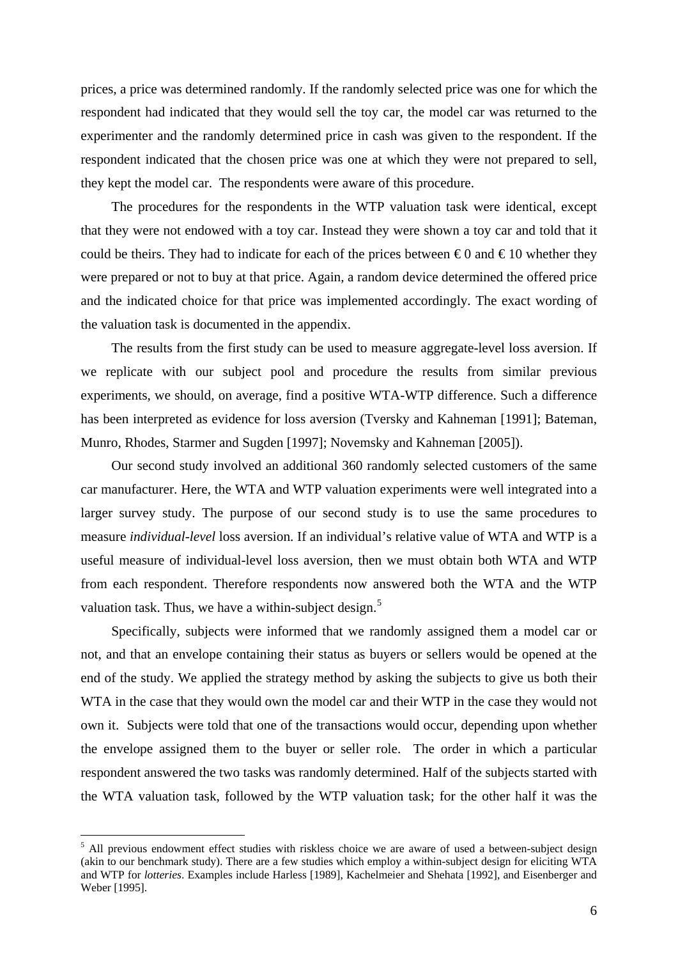prices, a price was determined randomly. If the randomly selected price was one for which the respondent had indicated that they would sell the toy car, the model car was returned to the experimenter and the randomly determined price in cash was given to the respondent. If the respondent indicated that the chosen price was one at which they were not prepared to sell, they kept the model car. The respondents were aware of this procedure.

The procedures for the respondents in the WTP valuation task were identical, except that they were not endowed with a toy car. Instead they were shown a toy car and told that it could be theirs. They had to indicate for each of the prices between  $\epsilon 0$  and  $\epsilon 10$  whether they were prepared or not to buy at that price. Again, a random device determined the offered price and the indicated choice for that price was implemented accordingly. The exact wording of the valuation task is documented in the appendix.

The results from the first study can be used to measure aggregate-level loss aversion. If we replicate with our subject pool and procedure the results from similar previous experiments, we should, on average, find a positive WTA-WTP difference. Such a difference has been interpreted as evidence for loss aversion (Tversky and Kahneman [1991]; Bateman, Munro, Rhodes, Starmer and Sugden [1997]; Novemsky and Kahneman [2005]).

Our second study involved an additional 360 randomly selected customers of the same car manufacturer. Here, the WTA and WTP valuation experiments were well integrated into a larger survey study. The purpose of our second study is to use the same procedures to measure *individual-level* loss aversion. If an individual's relative value of WTA and WTP is a useful measure of individual-level loss aversion, then we must obtain both WTA and WTP from each respondent. Therefore respondents now answered both the WTA and the WTP valuation task. Thus, we have a within-subject design. $5$ 

Specifically, subjects were informed that we randomly assigned them a model car or not, and that an envelope containing their status as buyers or sellers would be opened at the end of the study. We applied the strategy method by asking the subjects to give us both their WTA in the case that they would own the model car and their WTP in the case they would not own it. Subjects were told that one of the transactions would occur, depending upon whether the envelope assigned them to the buyer or seller role. The order in which a particular respondent answered the two tasks was randomly determined. Half of the subjects started with the WTA valuation task, followed by the WTP valuation task; for the other half it was the

<span id="page-7-0"></span><sup>&</sup>lt;sup>5</sup> All previous endowment effect studies with riskless choice we are aware of used a between-subject design (akin to our benchmark study). There are a few studies which employ a within-subject design for eliciting WTA and WTP for *lotteries*. Examples include Harless [1989], Kachelmeier and Shehata [1992], and Eisenberger and Weber [1995].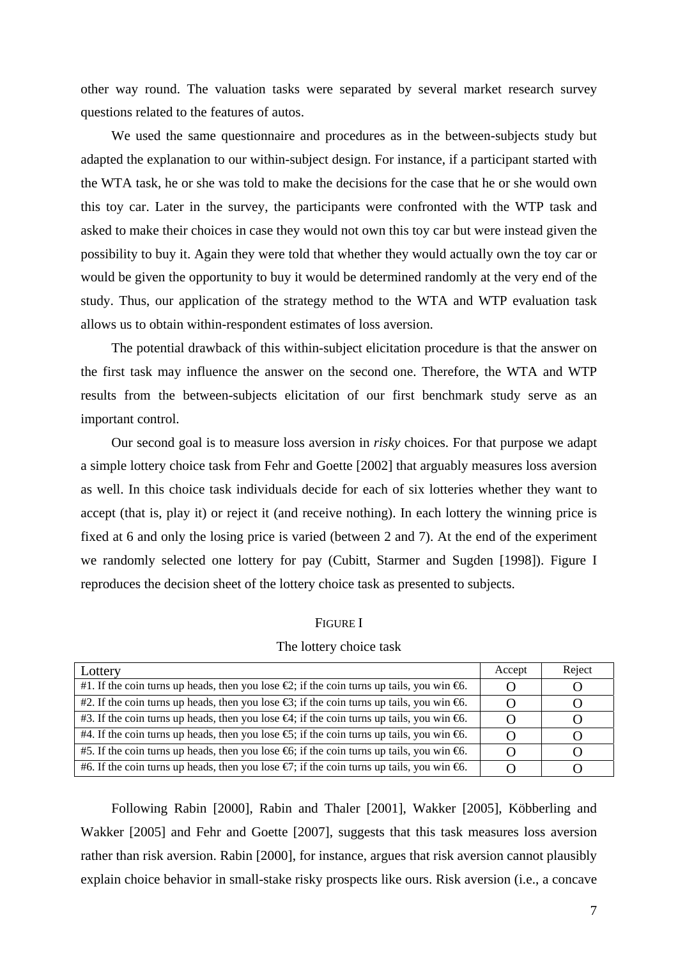other way round. The valuation tasks were separated by several market research survey questions related to the features of autos.

We used the same questionnaire and procedures as in the between-subjects study but adapted the explanation to our within-subject design. For instance, if a participant started with the WTA task, he or she was told to make the decisions for the case that he or she would own this toy car. Later in the survey, the participants were confronted with the WTP task and asked to make their choices in case they would not own this toy car but were instead given the possibility to buy it. Again they were told that whether they would actually own the toy car or would be given the opportunity to buy it would be determined randomly at the very end of the study. Thus, our application of the strategy method to the WTA and WTP evaluation task allows us to obtain within-respondent estimates of loss aversion.

The potential drawback of this within-subject elicitation procedure is that the answer on the first task may influence the answer on the second one. Therefore, the WTA and WTP results from the between-subjects elicitation of our first benchmark study serve as an important control.

Our second goal is to measure loss aversion in *risky* choices. For that purpose we adapt a simple lottery choice task from Fehr and Goette [2002] that arguably measures loss aversion as well. In this choice task individuals decide for each of six lotteries whether they want to accept (that is, play it) or reject it (and receive nothing). In each lottery the winning price is fixed at 6 and only the losing price is varied (between 2 and 7). At the end of the experiment we randomly selected one lottery for pay (Cubitt, Starmer and Sugden [1998]). Figure I reproduces the decision sheet of the lottery choice task as presented to subjects.

FIGURE I

|  | The lottery choice task |
|--|-------------------------|
|--|-------------------------|

| Lottery                                                                                                             | Accept | Reject |
|---------------------------------------------------------------------------------------------------------------------|--------|--------|
| #1. If the coin turns up heads, then you lose $\bigoplus$ ; if the coin turns up tails, you win $\bigoplus$ .       |        |        |
| #2. If the coin turns up heads, then you lose $\mathfrak{S}$ ; if the coin turns up tails, you win $\mathfrak{S}$ . |        |        |
| #3. If the coin turns up heads, then you lose $\mathfrak{S}$ ; if the coin turns up tails, you win $\mathfrak{S}$ . |        |        |
| #4. If the coin turns up heads, then you lose $\epsilon$ ; if the coin turns up tails, you win $\epsilon$ .         |        |        |
| #5. If the coin turns up heads, then you lose $\mathfrak{S}$ ; if the coin turns up tails, you win $\mathfrak{S}$ . |        |        |
| #6. If the coin turns up heads, then you lose $\epsilon$ ; if the coin turns up tails, you win $\epsilon$ .         |        |        |

Following Rabin [2000], Rabin and Thaler [2001], Wakker [2005], Köbberling and Wakker [2005] and Fehr and Goette [2007], suggests that this task measures loss aversion rather than risk aversion. Rabin [2000], for instance, argues that risk aversion cannot plausibly explain choice behavior in small-stake risky prospects like ours. Risk aversion (i.e., a concave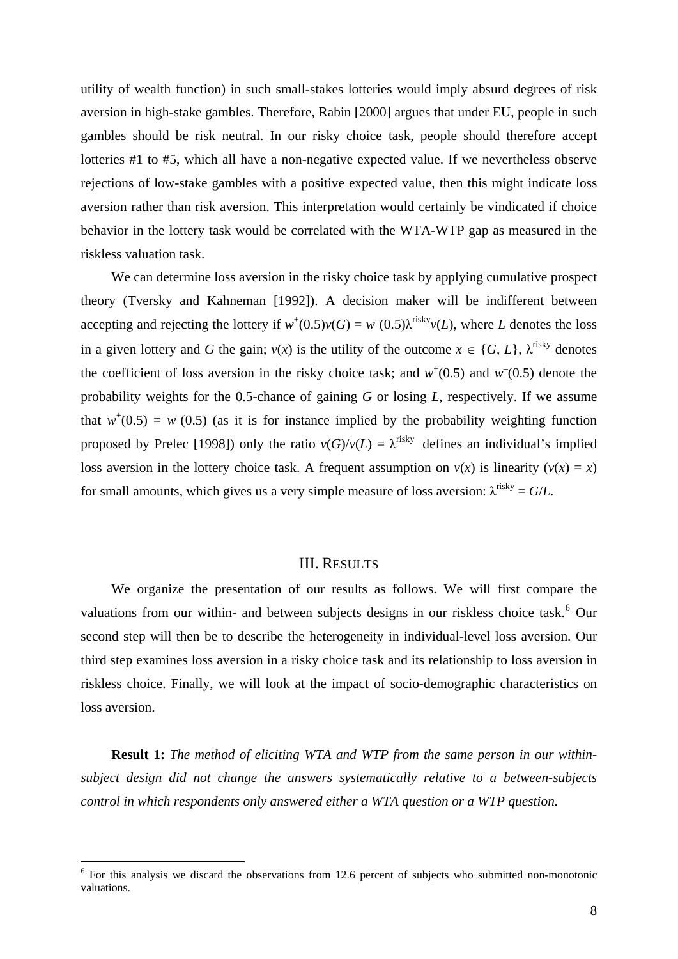utility of wealth function) in such small-stakes lotteries would imply absurd degrees of risk aversion in high-stake gambles. Therefore, Rabin [2000] argues that under EU, people in such gambles should be risk neutral. In our risky choice task, people should therefore accept lotteries #1 to #5, which all have a non-negative expected value. If we nevertheless observe rejections of low-stake gambles with a positive expected value, then this might indicate loss aversion rather than risk aversion. This interpretation would certainly be vindicated if choice behavior in the lottery task would be correlated with the WTA-WTP gap as measured in the riskless valuation task.

We can determine loss aversion in the risky choice task by applying cumulative prospect theory (Tversky and Kahneman [1992]). A decision maker will be indifferent between accepting and rejecting the lottery if  $w^+(0.5)v(G) = w^-(0.5)\lambda^{\text{risky}}v(L)$ , where *L* denotes the loss in a given lottery and *G* the gain;  $v(x)$  is the utility of the outcome  $x \in \{G, L\}$ ,  $\lambda^{\text{risky}}$  denotes the coefficient of loss aversion in the risky choice task; and  $w^+(0.5)$  and  $w^-(0.5)$  denote the probability weights for the 0.5-chance of gaining *G* or losing *L*, respectively. If we assume that  $w^+(0.5) = w^-(0.5)$  (as it is for instance implied by the probability weighting function proposed by Prelec [1998]) only the ratio  $v(G)/v(L) = \lambda^{risky}$  defines an individual's implied loss aversion in the lottery choice task. A frequent assumption on  $v(x)$  is linearity  $(v(x) = x)$ for small amounts, which gives us a very simple measure of loss aversion:  $\lambda^{risky} = G/L$ .

### III. RESULTS

We organize the presentation of our results as follows. We will first compare the valuations from our within- and between subjects designs in our riskless choice task.<sup>[6](#page-9-0)</sup> Our second step will then be to describe the heterogeneity in individual-level loss aversion. Our third step examines loss aversion in a risky choice task and its relationship to loss aversion in riskless choice. Finally, we will look at the impact of socio-demographic characteristics on loss aversion.

**Result 1:** *The method of eliciting WTA and WTP from the same person in our withinsubject design did not change the answers systematically relative to a between-subjects control in which respondents only answered either a WTA question or a WTP question.* 

<span id="page-9-0"></span> $6$  For this analysis we discard the observations from 12.6 percent of subjects who submitted non-monotonic valuations.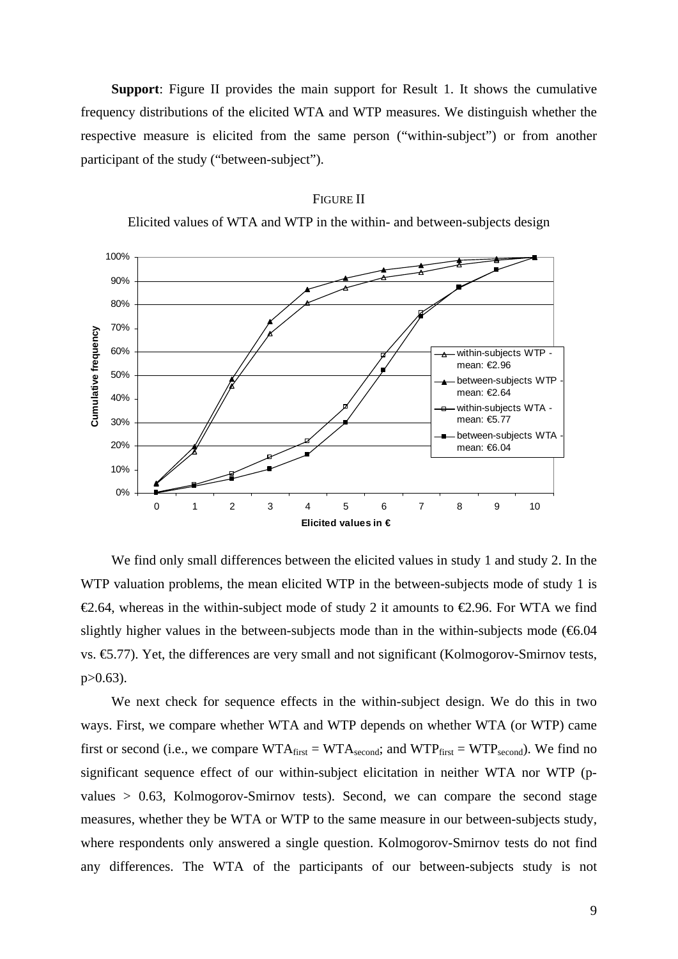**Support**: Figure II provides the main support for Result 1. It shows the cumulative frequency distributions of the elicited WTA and WTP measures. We distinguish whether the respective measure is elicited from the same person ("within-subject") or from another participant of the study ("between-subject").

### FIGURE II

Elicited values of WTA and WTP in the within- and between-subjects design



We find only small differences between the elicited values in study 1 and study 2. In the WTP valuation problems, the mean elicited WTP in the between-subjects mode of study 1 is  $\epsilon$ 2.64, whereas in the within-subject mode of study 2 it amounts to  $\epsilon$ 2.96. For WTA we find slightly higher values in the between-subjects mode than in the within-subjects mode  $(66.04)$ vs. €5.77). Yet, the differences are very small and not significant (Kolmogorov-Smirnov tests, p>0.63).

We next check for sequence effects in the within-subject design. We do this in two ways. First, we compare whether WTA and WTP depends on whether WTA (or WTP) came first or second (i.e., we compare  $WTA_{first} = WTA_{second}$ ; and  $WTP_{first} = WTP_{second}$ ). We find no significant sequence effect of our within-subject elicitation in neither WTA nor WTP (pvalues > 0.63, Kolmogorov-Smirnov tests). Second, we can compare the second stage measures, whether they be WTA or WTP to the same measure in our between-subjects study, where respondents only answered a single question. Kolmogorov-Smirnov tests do not find any differences. The WTA of the participants of our between-subjects study is not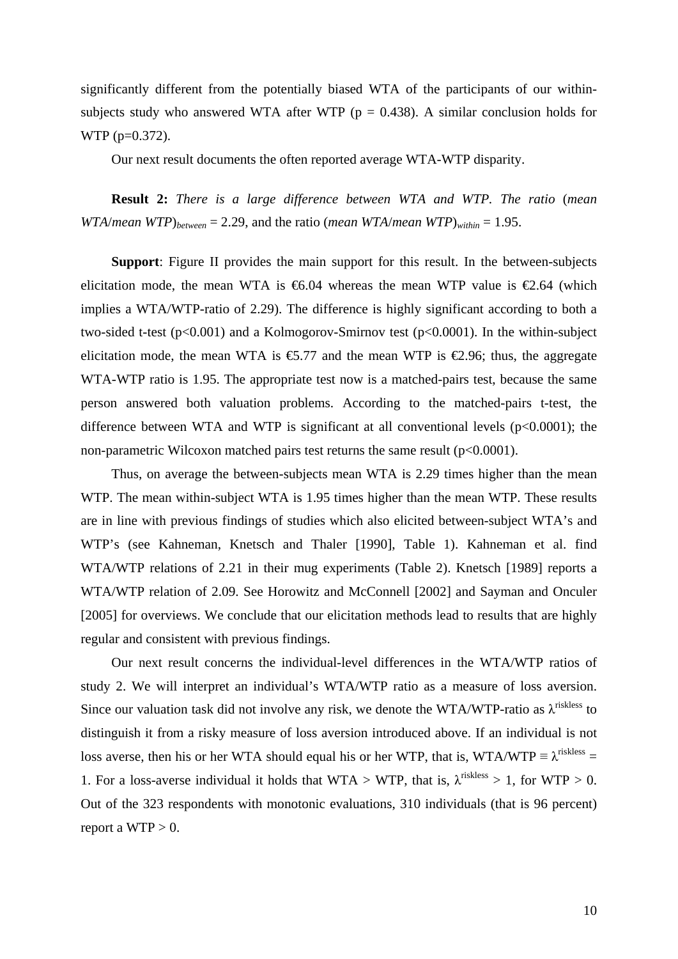significantly different from the potentially biased WTA of the participants of our withinsubjects study who answered WTA after WTP ( $p = 0.438$ ). A similar conclusion holds for WTP (p=0.372).

Our next result documents the often reported average WTA-WTP disparity.

**Result 2:** *There is a large difference between WTA and WTP. The ratio* (*mean WTA*/*mean WTP*)*between* = 2.29, and the ratio (*mean WTA*/*mean WTP*)*within* = 1.95.

**Support**: Figure II provides the main support for this result. In the between-subjects elicitation mode, the mean WTA is  $\epsilon$ 6.04 whereas the mean WTP value is  $\epsilon$ 2.64 (which implies a WTA/WTP-ratio of 2.29). The difference is highly significant according to both a two-sided t-test ( $p<0.001$ ) and a Kolmogorov-Smirnov test ( $p<0.0001$ ). In the within-subject elicitation mode, the mean WTA is  $\epsilon$ 5.77 and the mean WTP is  $\epsilon$ 2.96; thus, the aggregate WTA-WTP ratio is 1.95. The appropriate test now is a matched-pairs test, because the same person answered both valuation problems. According to the matched-pairs t-test, the difference between WTA and WTP is significant at all conventional levels  $(p<0.0001)$ ; the non-parametric Wilcoxon matched pairs test returns the same result ( $p<0.0001$ ).

Thus, on average the between-subjects mean WTA is 2.29 times higher than the mean WTP. The mean within-subject WTA is 1.95 times higher than the mean WTP. These results are in line with previous findings of studies which also elicited between-subject WTA's and WTP's (see Kahneman, Knetsch and Thaler [1990], Table 1). Kahneman et al. find WTA/WTP relations of 2.21 in their mug experiments (Table 2). Knetsch [1989] reports a WTA/WTP relation of 2.09. See Horowitz and McConnell [2002] and Sayman and Onculer [2005] for overviews. We conclude that our elicitation methods lead to results that are highly regular and consistent with previous findings.

Our next result concerns the individual-level differences in the WTA/WTP ratios of study 2. We will interpret an individual's WTA/WTP ratio as a measure of loss aversion. Since our valuation task did not involve any risk, we denote the WTA/WTP-ratio as  $\lambda^{\text{riskless}}$  to distinguish it from a risky measure of loss aversion introduced above. If an individual is not loss averse, then his or her WTA should equal his or her WTP, that is, WTA/WTP  $\equiv \lambda^{\text{riskless}} =$ 1. For a loss-averse individual it holds that WTA > WTP, that is,  $\lambda^{\text{riskless}} > 1$ , for WTP > 0. Out of the 323 respondents with monotonic evaluations, 310 individuals (that is 96 percent) report a  $WTP > 0$ .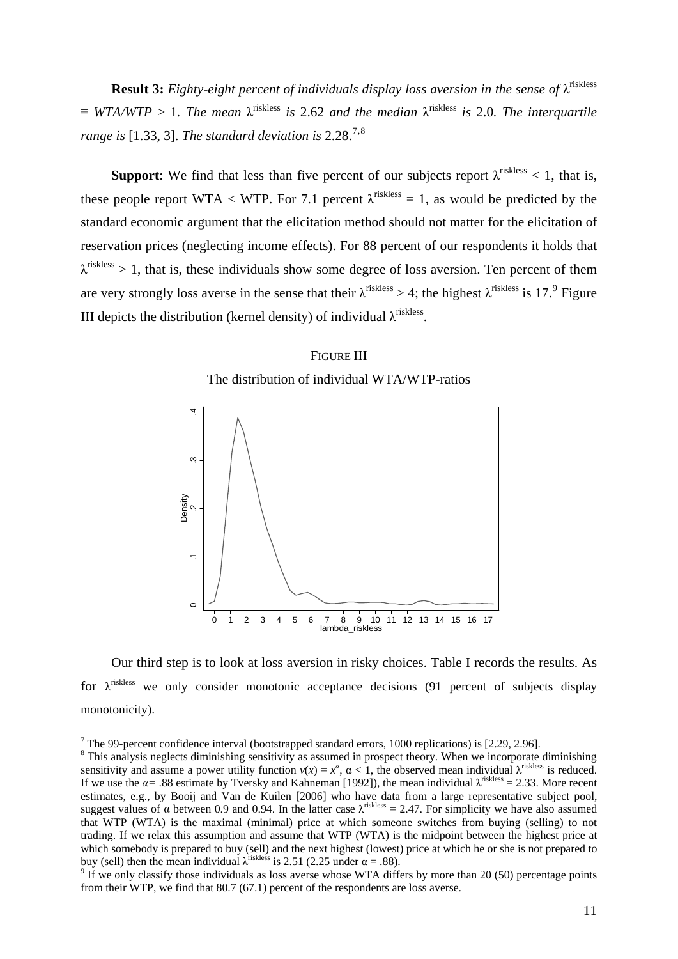**Result 3:** *Eighty-eight percent of individuals display loss aversion in the sense of* λ<sup>riskless</sup>  $\equiv$  *WTA/WTP* > 1*. The mean*  $\lambda$ <sup>riskless</sup> is 2.62 and the median  $\lambda$ <sup>riskless</sup> is 2.0*. The interquartile range is* [1.33, 3]. *The standard deviation is*  $2.28.^{7,8}$  $2.28.^{7,8}$  $2.28.^{7,8}$  $2.28.^{7,8}$  $2.28.^{7,8}$ 

**Support:** We find that less than five percent of our subjects report  $\lambda^{\text{riskless}} < 1$ , that is, these people report WTA < WTP. For 7.1 percent  $\lambda^{riskless} = 1$ , as would be predicted by the standard economic argument that the elicitation method should not matter for the elicitation of reservation prices (neglecting income effects). For 88 percent of our respondents it holds that  $\lambda^{riskless} > 1$ , that is, these individuals show some degree of loss aversion. Ten percent of them are very strongly loss averse in the sense that their  $\lambda^{riskless} > 4$ ; the highest  $\lambda^{riskless}$  is 17.<sup>[9](#page-12-2)</sup> Figure III depicts the distribution (kernel density) of individual  $\lambda^{riskless}$ .

### FIGURE III





Our third step is to look at loss aversion in risky choices. Table I records the results. As for  $\lambda$ <sup>riskless</sup> we only consider monotonic acceptance decisions (91 percent of subjects display monotonicity).

The 99-percent confidence interval (bootstrapped standard errors, 1000 replications) is [2.29, 2.96].

<span id="page-12-1"></span><span id="page-12-0"></span><sup>&</sup>lt;sup>8</sup> This analysis neglects diminishing sensitivity as assumed in prospect theory. When we incorporate diminishing sensitivity and assume a power utility function  $v(x) = x^{\alpha}$ ,  $\alpha < 1$ , the observed mean individual  $\lambda^{\text{riskless}}$  is reduced. If we use the  $\alpha$ = .88 estimate by Tversky and Kahneman [1992]), the mean individual  $\lambda^{riskless}$  = 2.33. More recent estimates, e.g., by Booij and Van de Kuilen [2006] who have data from a large representative subject pool, suggest values of α between 0.9 and 0.94. In the latter case  $λ$ <sup>riskless</sup> = 2.47. For simplicity we have also assumed that WTP (WTA) is the maximal (minimal) price at which someone switches from buying (selling) to not trading. If we relax this assumption and assume that WTP (WTA) is the midpoint between the highest price at which somebody is prepared to buy (sell) and the next highest (lowest) price at which he or she is not prepared to buy (sell) then the mean individual  $\lambda$ <sup>riskless</sup> is 2.51 (2.25 under  $\alpha = .88$ ).

<span id="page-12-2"></span> $9$  If we only classify those individuals as loss averse whose WTA differs by more than 20 (50) percentage points from their WTP, we find that 80.7 (67.1) percent of the respondents are loss averse.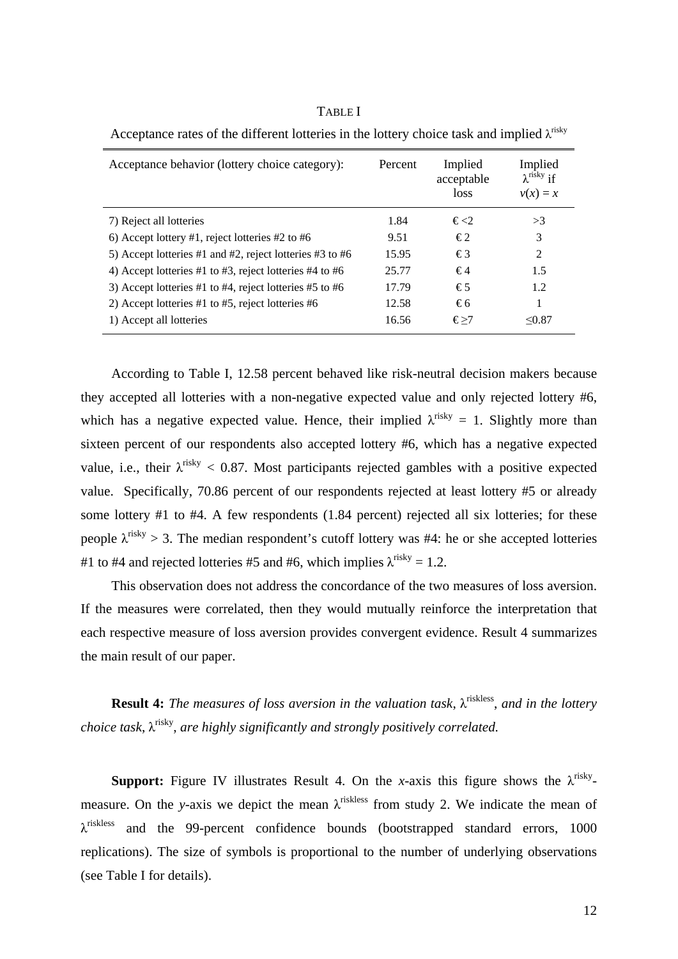| Acceptance behavior (lottery choice category):           | Percent | Implied<br>acceptable<br><i>loss</i> | Implied<br>$\lambda$ <sup>risky</sup> if<br>$v(x) = x$ |
|----------------------------------------------------------|---------|--------------------------------------|--------------------------------------------------------|
| 7) Reject all lotteries                                  | 1.84    | $\xi \ll 2$                          | >3                                                     |
| 6) Accept lottery #1, reject lotteries #2 to #6          | 9.51    | €2                                   | 3                                                      |
| 5) Accept lotteries #1 and #2, reject lotteries #3 to #6 | 15.95   | €3                                   | $\mathfrak{D}$                                         |
| 4) Accept lotteries #1 to #3, reject lotteries #4 to #6  | 25.77   | €4                                   | 1.5                                                    |
| 3) Accept lotteries #1 to #4, reject lotteries #5 to #6  | 17.79   | €5                                   | 1.2                                                    |
| 2) Accept lotteries #1 to #5, reject lotteries #6        | 12.58   | €6                                   |                                                        |
| 1) Accept all lotteries                                  | 16.56   | €>7                                  | $\leq 0.87$                                            |

Acceptance rates of the different lotteries in the lottery choice task and implied  $\lambda^{\text{risky}}$ 

TABLE I

According to Table I, 12.58 percent behaved like risk-neutral decision makers because they accepted all lotteries with a non-negative expected value and only rejected lottery #6, which has a negative expected value. Hence, their implied  $\lambda^{risky} = 1$ . Slightly more than sixteen percent of our respondents also accepted lottery #6, which has a negative expected value, i.e., their  $\lambda^{\text{risky}} < 0.87$ . Most participants rejected gambles with a positive expected value. Specifically, 70.86 percent of our respondents rejected at least lottery #5 or already some lottery #1 to #4. A few respondents (1.84 percent) rejected all six lotteries; for these people  $\lambda^{\text{risky}} > 3$ . The median respondent's cutoff lottery was #4: he or she accepted lotteries #1 to #4 and rejected lotteries #5 and #6, which implies  $\lambda^{\text{risky}} = 1.2$ .

This observation does not address the concordance of the two measures of loss aversion. If the measures were correlated, then they would mutually reinforce the interpretation that each respective measure of loss aversion provides convergent evidence. Result 4 summarizes the main result of our paper.

**Result 4:** *The measures of loss aversion in the valuation task*, λriskless, *and in the lottery choice task,* λ<sup>risky</sup>, *are highly significantly and strongly positively correlated.* 

**Support:** Figure IV illustrates Result 4. On the *x*-axis this figure shows the  $\lambda^{risky}$ measure. On the *y*-axis we depict the mean  $\lambda$ <sup>riskless</sup> from study 2. We indicate the mean of  $\lambda$ <sup>riskless</sup> and the 99-percent confidence bounds (bootstrapped standard errors, 1000 replications). The size of symbols is proportional to the number of underlying observations (see Table I for details).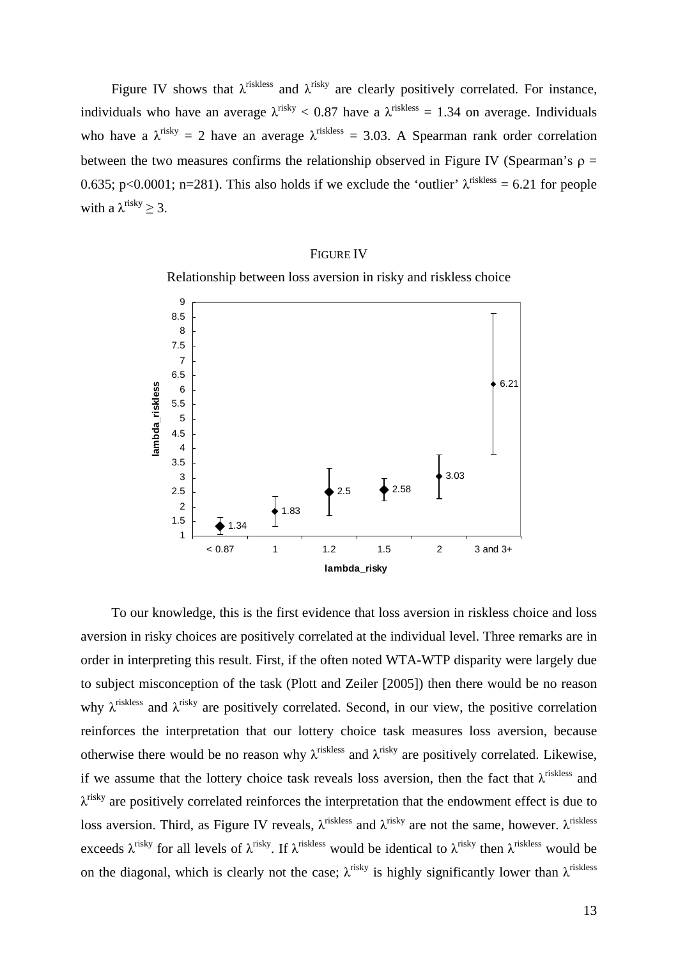Figure IV shows that  $\lambda^{\text{riskless}}$  and  $\lambda^{\text{risky}}$  are clearly positively correlated. For instance, individuals who have an average  $\lambda^{\text{risky}} < 0.87$  have a  $\lambda^{\text{riskless}} = 1.34$  on average. Individuals who have a  $\lambda^{\text{risky}} = 2$  have an average  $\lambda^{\text{riskless}} = 3.03$ . A Spearman rank order correlation between the two measures confirms the relationship observed in Figure IV (Spearman's  $\rho =$ 0.635; p<0.0001; n=281). This also holds if we exclude the 'outlier'  $\lambda^{\text{riskless}} = 6.21$  for people with a  $\lambda$ <sup>risky</sup> > 3.

### FIGURE IV





To our knowledge, this is the first evidence that loss aversion in riskless choice and loss aversion in risky choices are positively correlated at the individual level. Three remarks are in order in interpreting this result. First, if the often noted WTA-WTP disparity were largely due to subject misconception of the task (Plott and Zeiler [2005]) then there would be no reason why  $\lambda^{\text{riskless}}$  and  $\lambda^{\text{risky}}$  are positively correlated. Second, in our view, the positive correlation reinforces the interpretation that our lottery choice task measures loss aversion, because otherwise there would be no reason why  $\lambda^{\text{riskless}}$  and  $\lambda^{\text{risky}}$  are positively correlated. Likewise, if we assume that the lottery choice task reveals loss aversion, then the fact that  $\lambda^{\text{riskless}}$  and  $\lambda$ <sup>risky</sup> are positively correlated reinforces the interpretation that the endowment effect is due to loss aversion. Third, as Figure IV reveals,  $\lambda^{riskless}$  and  $\lambda^{risky}$  are not the same, however.  $\lambda^{riskless}$ exceeds  $\lambda^{risky}$  for all levels of  $\lambda^{risky}$ . If  $\lambda^{risk\text{less}}$  would be identical to  $\lambda^{risky}$  then  $\lambda^{risk\text{less}}$  would be on the diagonal, which is clearly not the case;  $\lambda^{risky}$  is highly significantly lower than  $\lambda^{riskless}$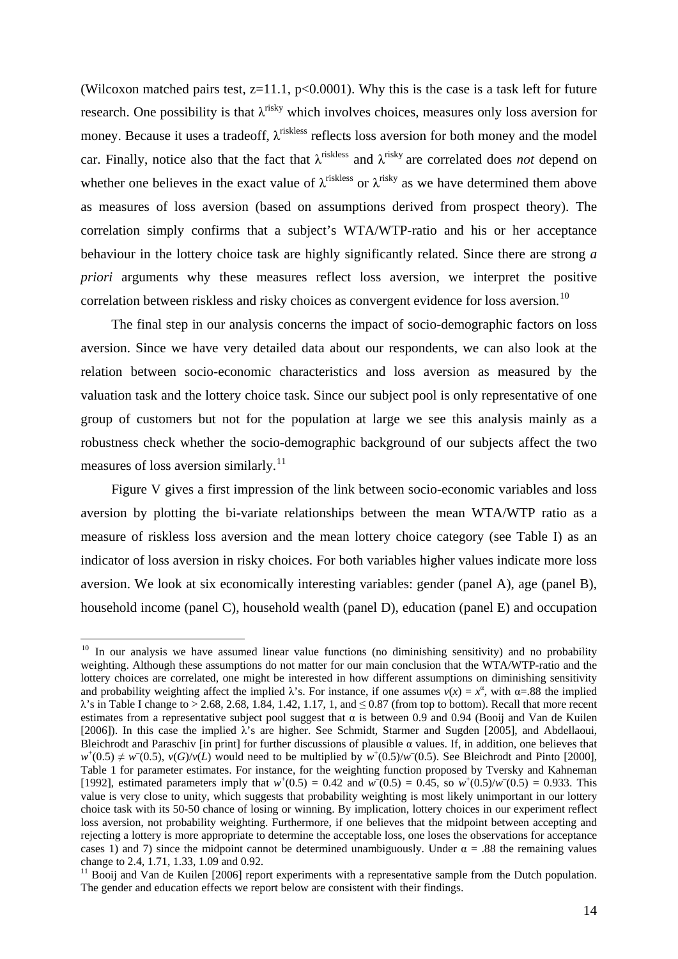(Wilcoxon matched pairs test,  $z=11.1$ ,  $p<0.0001$ ). Why this is the case is a task left for future research. One possibility is that  $\lambda^{\text{risky}}$  which involves choices, measures only loss aversion for money. Because it uses a tradeoff,  $\lambda$ <sup>riskless</sup> reflects loss aversion for both money and the model car. Finally, notice also that the fact that  $\lambda$ <sup>riskless</sup> and  $\lambda$ <sup>risky</sup> are correlated does *not* depend on whether one believes in the exact value of  $\lambda^{\text{riskless}}$  or  $\lambda^{\text{risky}}$  as we have determined them above as measures of loss aversion (based on assumptions derived from prospect theory). The correlation simply confirms that a subject's WTA/WTP-ratio and his or her acceptance behaviour in the lottery choice task are highly significantly related. Since there are strong *a priori* arguments why these measures reflect loss aversion, we interpret the positive correlation between riskless and risky choices as convergent evidence for loss aversion.<sup>[10](#page-15-0)</sup>

The final step in our analysis concerns the impact of socio-demographic factors on loss aversion. Since we have very detailed data about our respondents, we can also look at the relation between socio-economic characteristics and loss aversion as measured by the valuation task and the lottery choice task. Since our subject pool is only representative of one group of customers but not for the population at large we see this analysis mainly as a robustness check whether the socio-demographic background of our subjects affect the two measures of loss aversion similarly.<sup>[11](#page-15-1)</sup>

Figure V gives a first impression of the link between socio-economic variables and loss aversion by plotting the bi-variate relationships between the mean WTA/WTP ratio as a measure of riskless loss aversion and the mean lottery choice category (see Table I) as an indicator of loss aversion in risky choices. For both variables higher values indicate more loss aversion. We look at six economically interesting variables: gender (panel A), age (panel B), household income (panel C), household wealth (panel D), education (panel E) and occupation

<span id="page-15-0"></span> $10$  In our analysis we have assumed linear value functions (no diminishing sensitivity) and no probability weighting. Although these assumptions do not matter for our main conclusion that the WTA/WTP-ratio and the lottery choices are correlated, one might be interested in how different assumptions on diminishing sensitivity and probability weighting affect the implied  $\lambda$ 's. For instance, if one assumes  $v(x) = x^{\alpha}$ , with  $\alpha = .88$  the implied  $\lambda$ 's in Table I change to > 2.68, 2.68, 1.84, 1.42, 1.17, 1, and  $\leq 0.87$  (from top to bottom). Recall that more recent estimates from a representative subject pool suggest that  $\alpha$  is between 0.9 and 0.94 (Booij and Van de Kuilen [2006]). In this case the implied  $\lambda$ 's are higher. See Schmidt, Starmer and Sugden [2005], and Abdellaoui, Bleichrodt and Paraschiv [in print] for further discussions of plausible  $\alpha$  values. If, in addition, one believes that  $w^+(0.5) \neq w^-(0.5)$ ,  $v(G)/v(L)$  would need to be multiplied by  $w^+(0.5)/w^-(0.5)$ . See Bleichrodt and Pinto [2000], Table 1 for parameter estimates. For instance, for the weighting function proposed by Tversky and Kahneman [1992], estimated parameters imply that  $w^+(0.5) = 0.42$  and  $w^-(0.5) = 0.45$ , so  $w^+(0.5)/w^-(0.5) = 0.933$ . This value is very close to unity, which suggests that probability weighting is most likely unimportant in our lottery choice task with its 50-50 chance of losing or winning. By implication, lottery choices in our experiment reflect loss aversion, not probability weighting. Furthermore, if one believes that the midpoint between accepting and rejecting a lottery is more appropriate to determine the acceptable loss, one loses the observations for acceptance cases 1) and 7) since the midpoint cannot be determined unambiguously. Under  $\alpha = .88$  the remaining values change to 2.4, 1.71, 1.33, 1.09 and 0.92.

<span id="page-15-1"></span><sup>&</sup>lt;sup>11</sup> Booij and Van de Kuilen [2006] report experiments with a representative sample from the Dutch population. The gender and education effects we report below are consistent with their findings.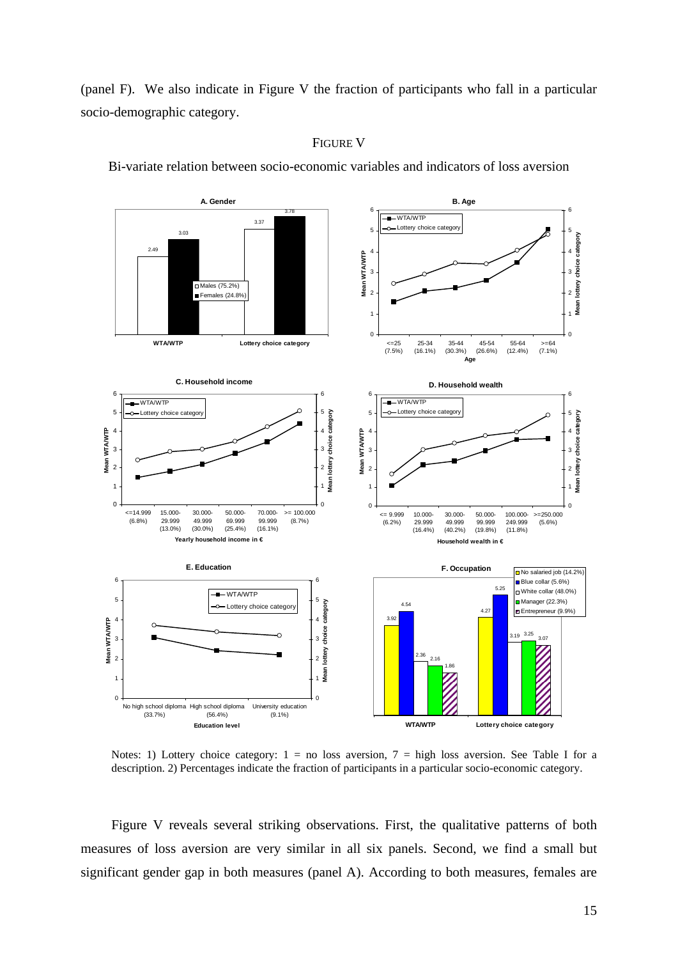(panel F). We also indicate in Figure V the fraction of participants who fall in a particular socio-demographic category.



### FIGURE V

Bi-variate relation between socio-economic variables and indicators of loss aversion

Notes: 1) Lottery choice category:  $1 = no$  loss aversion,  $7 = high$  loss aversion. See Table I for a description. 2) Percentages indicate the fraction of participants in a particular socio-economic category.

Figure V reveals several striking observations. First, the qualitative patterns of both measures of loss aversion are very similar in all six panels. Second, we find a small but significant gender gap in both measures (panel A). According to both measures, females are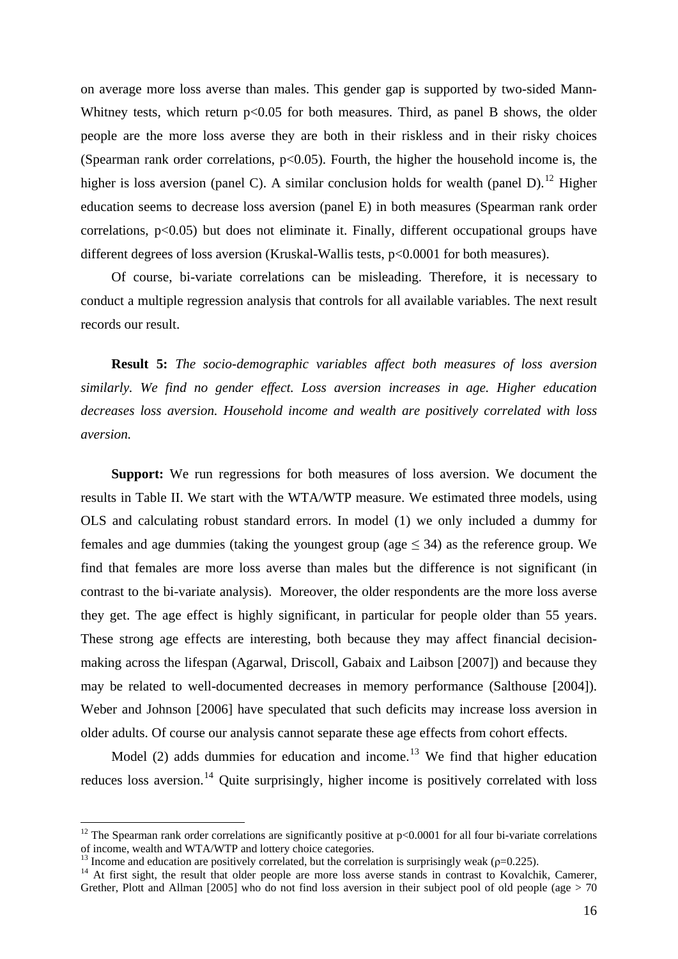on average more loss averse than males. This gender gap is supported by two-sided Mann-Whitney tests, which return  $p<0.05$  for both measures. Third, as panel B shows, the older people are the more loss averse they are both in their riskless and in their risky choices (Spearman rank order correlations,  $p<0.05$ ). Fourth, the higher the household income is, the higher is loss aversion (panel C). A similar conclusion holds for wealth (panel D).<sup>[12](#page-17-0)</sup> Higher education seems to decrease loss aversion (panel E) in both measures (Spearman rank order correlations, p<0.05) but does not eliminate it. Finally, different occupational groups have different degrees of loss aversion (Kruskal-Wallis tests, p<0.0001 for both measures).

Of course, bi-variate correlations can be misleading. Therefore, it is necessary to conduct a multiple regression analysis that controls for all available variables. The next result records our result.

**Result 5:** *The socio-demographic variables affect both measures of loss aversion similarly. We find no gender effect. Loss aversion increases in age. Higher education decreases loss aversion. Household income and wealth are positively correlated with loss aversion.* 

**Support:** We run regressions for both measures of loss aversion. We document the results in Table II. We start with the WTA/WTP measure. We estimated three models, using OLS and calculating robust standard errors. In model (1) we only included a dummy for females and age dummies (taking the youngest group (age  $\leq$  34) as the reference group. We find that females are more loss averse than males but the difference is not significant (in contrast to the bi-variate analysis). Moreover, the older respondents are the more loss averse they get. The age effect is highly significant, in particular for people older than 55 years. These strong age effects are interesting, both because they may affect financial decisionmaking across the lifespan (Agarwal, Driscoll, Gabaix and Laibson [2007]) and because they may be related to well-documented decreases in memory performance (Salthouse [2004]). Weber and Johnson [2006] have speculated that such deficits may increase loss aversion in older adults. Of course our analysis cannot separate these age effects from cohort effects.

Model (2) adds dummies for education and income.<sup>[13](#page-17-1)</sup> We find that higher education reduces loss aversion.<sup>[14](#page-17-2)</sup> Quite surprisingly, higher income is positively correlated with loss

<span id="page-17-0"></span><sup>&</sup>lt;sup>12</sup> The Spearman rank order correlations are significantly positive at  $p<0.0001$  for all four bi-variate correlations of income, wealth and WTA/WTP and lottery choice categories.

<span id="page-17-2"></span>

<span id="page-17-1"></span><sup>&</sup>lt;sup>13</sup> Income and education are positively correlated, but the correlation is surprisingly weak ( $\rho$ =0.225).<br><sup>14</sup> At first sight, the result that older people are more loss averse stands in contrast to Kovalchik, Camerer, Grether, Plott and Allman [2005] who do not find loss aversion in their subject pool of old people (age  $> 70$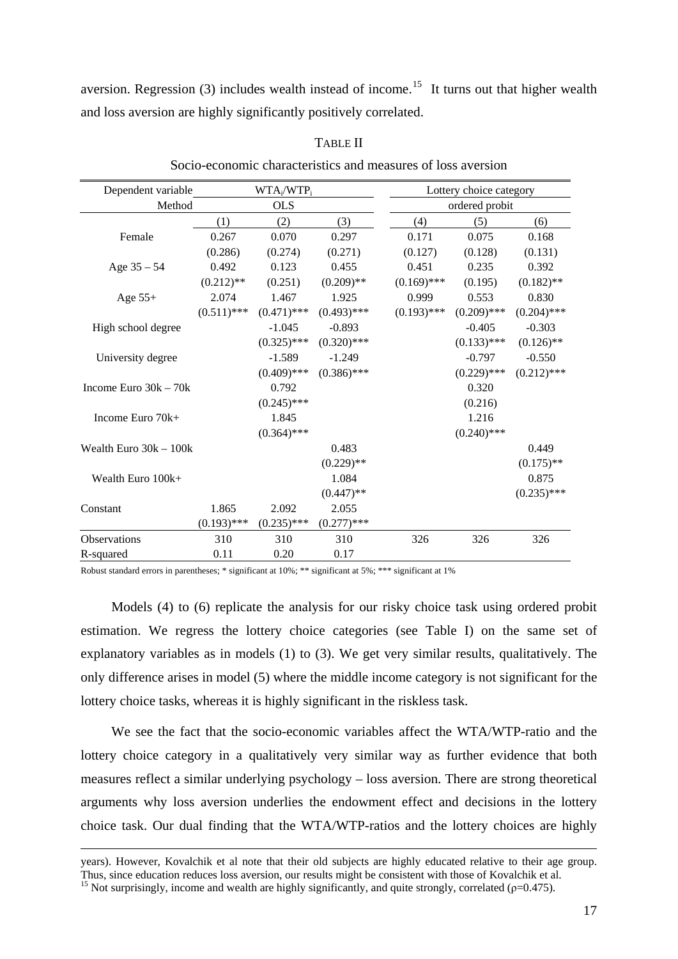aversion. Regression (3) includes wealth instead of income.<sup>[15](#page-18-0)</sup> It turns out that higher wealth and loss aversion are highly significantly positively correlated.

| Dependent variable       |               | $WTA_i/WTP_i$ |               |               | Lottery choice category |               |
|--------------------------|---------------|---------------|---------------|---------------|-------------------------|---------------|
| Method                   |               | <b>OLS</b>    |               |               | ordered probit          |               |
|                          | (1)           | (2)           | (3)           | (4)           | (5)                     | (6)           |
| Female                   | 0.267         | 0.070         | 0.297         | 0.171         | 0.075                   | 0.168         |
|                          | (0.286)       | (0.274)       | (0.271)       | (0.127)       | (0.128)                 | (0.131)       |
| Age $35 - 54$            | 0.492         | 0.123         | 0.455         | 0.451         | 0.235                   | 0.392         |
|                          | $(0.212)$ **  | (0.251)       | $(0.209)$ **  | $(0.169)$ *** | (0.195)                 | $(0.182)$ **  |
| Age $55+$                | 2.074         | 1.467         | 1.925         | 0.999         | 0.553                   | 0.830         |
|                          | $(0.511)$ *** | $(0.471)$ *** | $(0.493)$ *** | $(0.193)$ *** | $(0.209)$ ***           | $(0.204)$ *** |
| High school degree       |               | $-1.045$      | $-0.893$      |               | $-0.405$                | $-0.303$      |
|                          |               | $(0.325)$ *** | $(0.320)$ *** |               | $(0.133)$ ***           | $(0.126)$ **  |
| University degree        |               | $-1.589$      | $-1.249$      |               | $-0.797$                | $-0.550$      |
|                          |               | $(0.409)$ *** | $(0.386)$ *** |               | $(0.229)$ ***           | $(0.212)$ *** |
| Income Euro $30k - 70k$  |               | 0.792         |               |               | 0.320                   |               |
|                          |               | $(0.245)$ *** |               |               | (0.216)                 |               |
| Income Euro 70k+         |               | 1.845         |               |               | 1.216                   |               |
|                          |               | $(0.364)$ *** |               |               | $(0.240)$ ***           |               |
| Wealth Euro $30k - 100k$ |               |               | 0.483         |               |                         | 0.449         |
|                          |               |               | $(0.229)$ **  |               |                         | $(0.175)$ **  |
| Wealth Euro 100k+        |               |               | 1.084         |               |                         | 0.875         |
|                          |               |               | $(0.447)$ **  |               |                         | $(0.235)$ *** |
| Constant                 | 1.865         | 2.092         | 2.055         |               |                         |               |
|                          | $(0.193)$ *** | $(0.235)$ *** | $(0.277)$ *** |               |                         |               |
| Observations             | 310           | 310           | 310           | 326           | 326                     | 326           |
| R-squared                | 0.11          | 0.20          | 0.17          |               |                         |               |

TABLE II

Socio-economic characteristics and measures of loss aversion

Robust standard errors in parentheses; \* significant at 10%; \*\* significant at 5%; \*\*\* significant at 1%

Models (4) to (6) replicate the analysis for our risky choice task using ordered probit estimation. We regress the lottery choice categories (see Table I) on the same set of explanatory variables as in models (1) to (3). We get very similar results, qualitatively. The only difference arises in model (5) where the middle income category is not significant for the lottery choice tasks, whereas it is highly significant in the riskless task.

We see the fact that the socio-economic variables affect the WTA/WTP-ratio and the lottery choice category in a qualitatively very similar way as further evidence that both measures reflect a similar underlying psychology – loss aversion. There are strong theoretical arguments why loss aversion underlies the endowment effect and decisions in the lottery choice task. Our dual finding that the WTA/WTP-ratios and the lottery choices are highly

years). However, Kovalchik et al note that their old subjects are highly educated relative to their age group. Thus, since education reduces loss aversion, our results might be consistent with those of Kovalchik et al.

<span id="page-18-0"></span><sup>&</sup>lt;sup>15</sup> Not surprisingly, income and wealth are highly significantly, and quite strongly, correlated ( $\rho$ =0.475).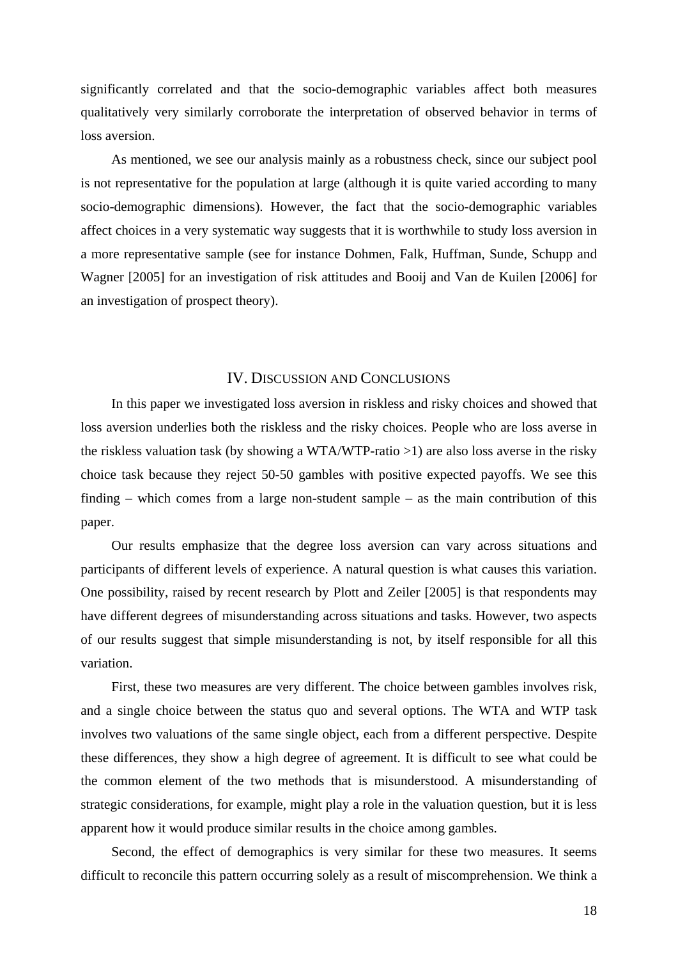significantly correlated and that the socio-demographic variables affect both measures qualitatively very similarly corroborate the interpretation of observed behavior in terms of loss aversion.

As mentioned, we see our analysis mainly as a robustness check, since our subject pool is not representative for the population at large (although it is quite varied according to many socio-demographic dimensions). However, the fact that the socio-demographic variables affect choices in a very systematic way suggests that it is worthwhile to study loss aversion in a more representative sample (see for instance Dohmen, Falk, Huffman, Sunde, Schupp and Wagner [2005] for an investigation of risk attitudes and Booij and Van de Kuilen [2006] for an investigation of prospect theory).

### IV. DISCUSSION AND CONCLUSIONS

In this paper we investigated loss aversion in riskless and risky choices and showed that loss aversion underlies both the riskless and the risky choices. People who are loss averse in the riskless valuation task (by showing a WTA/WTP-ratio >1) are also loss averse in the risky choice task because they reject 50-50 gambles with positive expected payoffs. We see this finding – which comes from a large non-student sample – as the main contribution of this paper.

Our results emphasize that the degree loss aversion can vary across situations and participants of different levels of experience. A natural question is what causes this variation. One possibility, raised by recent research by Plott and Zeiler [2005] is that respondents may have different degrees of misunderstanding across situations and tasks. However, two aspects of our results suggest that simple misunderstanding is not, by itself responsible for all this variation.

First, these two measures are very different. The choice between gambles involves risk, and a single choice between the status quo and several options. The WTA and WTP task involves two valuations of the same single object, each from a different perspective. Despite these differences, they show a high degree of agreement. It is difficult to see what could be the common element of the two methods that is misunderstood. A misunderstanding of strategic considerations, for example, might play a role in the valuation question, but it is less apparent how it would produce similar results in the choice among gambles.

Second, the effect of demographics is very similar for these two measures. It seems difficult to reconcile this pattern occurring solely as a result of miscomprehension. We think a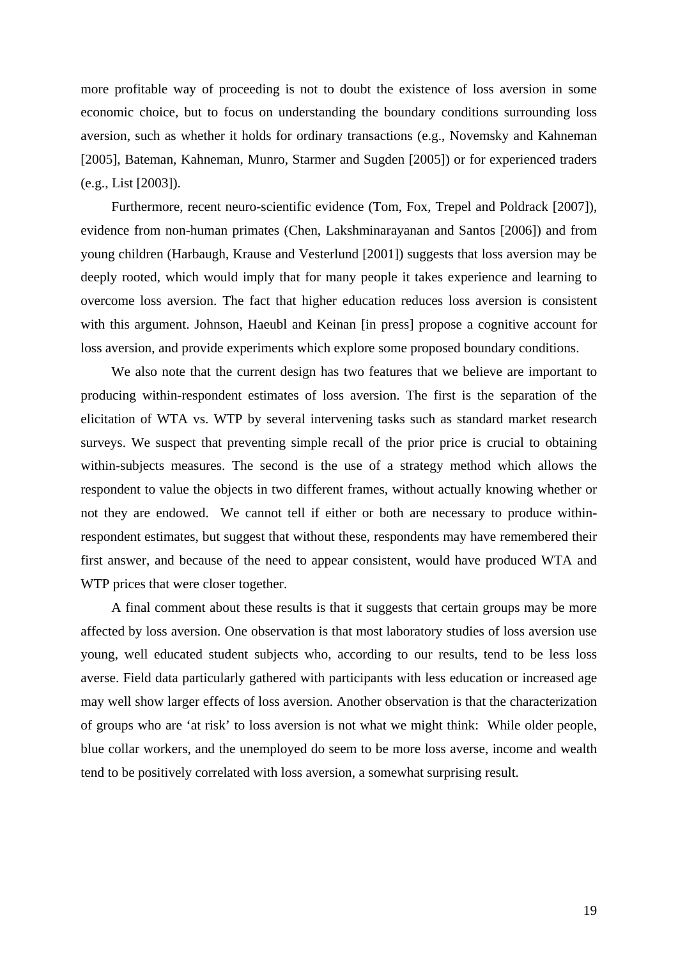more profitable way of proceeding is not to doubt the existence of loss aversion in some economic choice, but to focus on understanding the boundary conditions surrounding loss aversion, such as whether it holds for ordinary transactions (e.g., Novemsky and Kahneman [2005], Bateman, Kahneman, Munro, Starmer and Sugden [2005]) or for experienced traders (e.g., List [2003]).

Furthermore, recent neuro-scientific evidence (Tom, Fox, Trepel and Poldrack [2007]), evidence from non-human primates (Chen, Lakshminarayanan and Santos [2006]) and from young children (Harbaugh, Krause and Vesterlund [2001]) suggests that loss aversion may be deeply rooted, which would imply that for many people it takes experience and learning to overcome loss aversion. The fact that higher education reduces loss aversion is consistent with this argument. Johnson, Haeubl and Keinan [in press] propose a cognitive account for loss aversion, and provide experiments which explore some proposed boundary conditions.

We also note that the current design has two features that we believe are important to producing within-respondent estimates of loss aversion. The first is the separation of the elicitation of WTA vs. WTP by several intervening tasks such as standard market research surveys. We suspect that preventing simple recall of the prior price is crucial to obtaining within-subjects measures. The second is the use of a strategy method which allows the respondent to value the objects in two different frames, without actually knowing whether or not they are endowed. We cannot tell if either or both are necessary to produce withinrespondent estimates, but suggest that without these, respondents may have remembered their first answer, and because of the need to appear consistent, would have produced WTA and WTP prices that were closer together.

A final comment about these results is that it suggests that certain groups may be more affected by loss aversion. One observation is that most laboratory studies of loss aversion use young, well educated student subjects who, according to our results, tend to be less loss averse. Field data particularly gathered with participants with less education or increased age may well show larger effects of loss aversion. Another observation is that the characterization of groups who are 'at risk' to loss aversion is not what we might think: While older people, blue collar workers, and the unemployed do seem to be more loss averse, income and wealth tend to be positively correlated with loss aversion, a somewhat surprising result.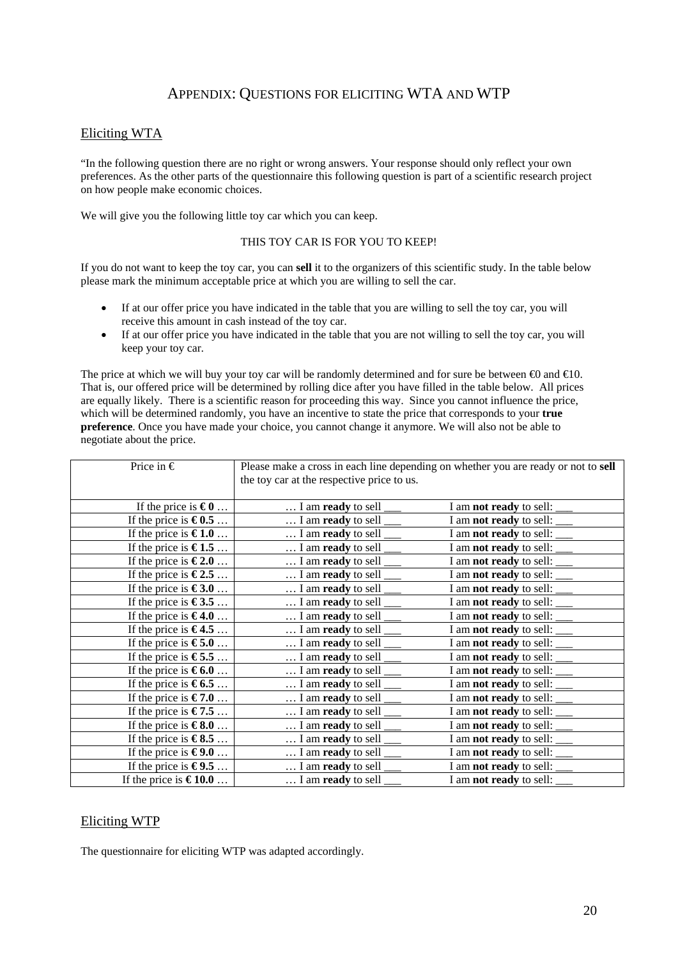# APPENDIX: QUESTIONS FOR ELICITING WTA AND WTP

### Eliciting WTA

"In the following question there are no right or wrong answers. Your response should only reflect your own preferences. As the other parts of the questionnaire this following question is part of a scientific research project on how people make economic choices.

We will give you the following little toy car which you can keep.

### THIS TOY CAR IS FOR YOU TO KEEP!

If you do not want to keep the toy car, you can **sell** it to the organizers of this scientific study. In the table below please mark the minimum acceptable price at which you are willing to sell the car.

- If at our offer price you have indicated in the table that you are willing to sell the toy car, you will receive this amount in cash instead of the toy car.
- If at our offer price you have indicated in the table that you are not willing to sell the toy car, you will keep your toy car.

The price at which we will buy your toy car will be randomly determined and for sure be between  $\Theta$  and  $\Theta$ 10. That is, our offered price will be determined by rolling dice after you have filled in the table below. All prices are equally likely. There is a scientific reason for proceeding this way. Since you cannot influence the price, which will be determined randomly, you have an incentive to state the price that corresponds to your **true preference**. Once you have made your choice, you cannot change it anymore. We will also not be able to negotiate about the price.

| Price in $\epsilon$             | Please make a cross in each line depending on whether you are ready or not to sell<br>the toy car at the respective price to us. |                                     |  |  |
|---------------------------------|----------------------------------------------------------------------------------------------------------------------------------|-------------------------------------|--|--|
|                                 |                                                                                                                                  |                                     |  |  |
| If the price is $\epsilon_0$    | $\dots$ I am <b>ready</b> to sell $\_\_$                                                                                         | I am <b>not ready</b> to sell: ____ |  |  |
| If the price is $\epsilon 0.5$  | $\dots$ I am ready to sell $\_\_$                                                                                                | I am <b>not ready</b> to sell: ____ |  |  |
| If the price is $\epsilon 1.0$  | $\dots$ I am <b>ready</b> to sell $\_\_$                                                                                         | I am <b>not ready</b> to sell: ____ |  |  |
| If the price is $\epsilon$ 1.5  | $\dots$ I am <b>ready</b> to sell $\_\_$                                                                                         | I am <b>not ready</b> to sell: ____ |  |  |
| If the price is $\epsilon$ 2.0  | $\dots$ I am <b>ready</b> to sell $\_\_$                                                                                         | I am <b>not ready</b> to sell: ____ |  |  |
| If the price is $\epsilon$ 2.5  | $\dots$ I am <b>ready</b> to sell $\_\_$                                                                                         | I am <b>not ready</b> to sell: ____ |  |  |
| If the price is $\epsilon$ 3.0  | $\dots$ I am <b>ready</b> to sell $\_\_$                                                                                         | I am <b>not ready</b> to sell: ____ |  |  |
| If the price is $\epsilon$ 3.5  | $\dots$ I am <b>ready</b> to sell $\_\_$                                                                                         | I am not ready to sell: ____        |  |  |
| If the price is $\epsilon$ 4.0  | $\dots$ I am <b>ready</b> to sell $\_\_$                                                                                         | I am <b>not ready</b> to sell: ___  |  |  |
| If the price is $\epsilon$ 4.5  | $\dots$ I am <b>ready</b> to sell $\_\_$                                                                                         | I am <b>not ready</b> to sell: ____ |  |  |
| If the price is $\epsilon$ 5.0  | $\dots$ I am <b>ready</b> to sell $\_\_$                                                                                         | I am <b>not ready</b> to sell: ____ |  |  |
| If the price is $\epsilon$ 5.5  | $\dots$ I am <b>ready</b> to sell $\_\_$                                                                                         | I am <b>not ready</b> to sell: ____ |  |  |
| If the price is $\epsilon 6.0$  | $\dots$ I am ready to sell $\_\_$                                                                                                | I am <b>not ready</b> to sell: ____ |  |  |
| If the price is $\epsilon$ 6.5  | $\dots$ I am <b>ready</b> to sell $\_\_$                                                                                         | I am <b>not ready</b> to sell: ____ |  |  |
| If the price is $\epsilon$ 7.0  | $\dots$ I am <b>ready</b> to sell $\_\_$                                                                                         | I am not ready to sell: ____        |  |  |
| If the price is $\epsilon$ 7.5  | $\dots$ I am ready to sell $\_\_$                                                                                                | I am not ready to sell: ____        |  |  |
| If the price is $\epsilon 8.0$  | $\dots$ I am ready to sell $\_\_$                                                                                                | I am <b>not ready</b> to sell: ____ |  |  |
| If the price is $\epsilon$ 8.5  | $\dots$ I am <b>ready</b> to sell $\_\_$                                                                                         | I am <b>not ready</b> to sell: ____ |  |  |
| If the price is $\epsilon 9.0$  | $\dots$ I am <b>ready</b> to sell $\_\_$                                                                                         | I am <b>not ready</b> to sell: ____ |  |  |
| If the price is $\epsilon$ 9.5  | $\dots$ I am ready to sell $\_\_$                                                                                                | I am not ready to sell: _____       |  |  |
| If the price is $\epsilon$ 10.0 | $\dots$ I am ready to sell $\frac{ }{ }$                                                                                         | I am not ready to sell:             |  |  |

### Eliciting WTP

The questionnaire for eliciting WTP was adapted accordingly.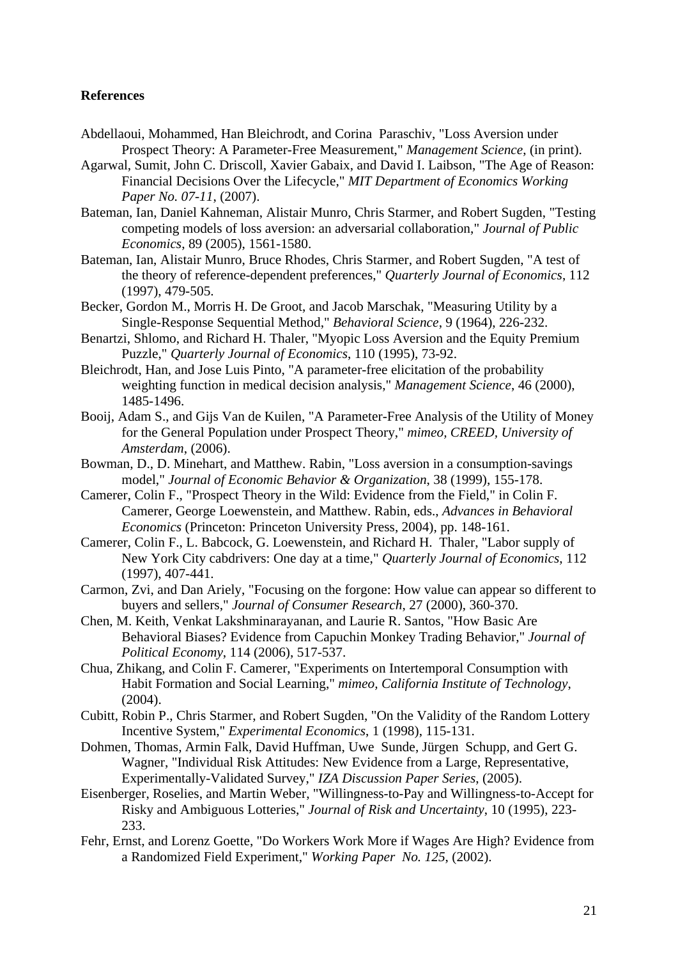### **References**

- Abdellaoui, Mohammed, Han Bleichrodt, and Corina Paraschiv, "Loss Aversion under Prospect Theory: A Parameter-Free Measurement," *Management Science*, (in print).
- Agarwal, Sumit, John C. Driscoll, Xavier Gabaix, and David I. Laibson, "The Age of Reason: Financial Decisions Over the Lifecycle," *MIT Department of Economics Working Paper No. 07-11*, (2007).
- Bateman, Ian, Daniel Kahneman, Alistair Munro, Chris Starmer, and Robert Sugden, "Testing competing models of loss aversion: an adversarial collaboration," *Journal of Public Economics*, 89 (2005), 1561-1580.
- Bateman, Ian, Alistair Munro, Bruce Rhodes, Chris Starmer, and Robert Sugden, "A test of the theory of reference-dependent preferences," *Quarterly Journal of Economics*, 112 (1997), 479-505.
- Becker, Gordon M., Morris H. De Groot, and Jacob Marschak, "Measuring Utility by a Single-Response Sequential Method," *Behavioral Science*, 9 (1964), 226-232.
- Benartzi, Shlomo, and Richard H. Thaler, "Myopic Loss Aversion and the Equity Premium Puzzle," *Quarterly Journal of Economics*, 110 (1995), 73-92.
- Bleichrodt, Han, and Jose Luis Pinto, "A parameter-free elicitation of the probability weighting function in medical decision analysis," *Management Science*, 46 (2000), 1485-1496.
- Booij, Adam S., and Gijs Van de Kuilen, "A Parameter-Free Analysis of the Utility of Money for the General Population under Prospect Theory," *mimeo, CREED, University of Amsterdam*, (2006).
- Bowman, D., D. Minehart, and Matthew. Rabin, "Loss aversion in a consumption-savings model," *Journal of Economic Behavior & Organization*, 38 (1999), 155-178.
- Camerer, Colin F., "Prospect Theory in the Wild: Evidence from the Field," in Colin F. Camerer, George Loewenstein, and Matthew. Rabin, eds., *Advances in Behavioral Economics* (Princeton: Princeton University Press, 2004), pp. 148-161.
- Camerer, Colin F., L. Babcock, G. Loewenstein, and Richard H. Thaler, "Labor supply of New York City cabdrivers: One day at a time," *Quarterly Journal of Economics*, 112 (1997), 407-441.
- Carmon, Zvi, and Dan Ariely, "Focusing on the forgone: How value can appear so different to buyers and sellers," *Journal of Consumer Research*, 27 (2000), 360-370.
- Chen, M. Keith, Venkat Lakshminarayanan, and Laurie R. Santos, "How Basic Are Behavioral Biases? Evidence from Capuchin Monkey Trading Behavior," *Journal of Political Economy*, 114 (2006), 517-537.
- Chua, Zhikang, and Colin F. Camerer, "Experiments on Intertemporal Consumption with Habit Formation and Social Learning," *mimeo, California Institute of Technology*, (2004).
- Cubitt, Robin P., Chris Starmer, and Robert Sugden, "On the Validity of the Random Lottery Incentive System," *Experimental Economics*, 1 (1998), 115-131.
- Dohmen, Thomas, Armin Falk, David Huffman, Uwe Sunde, Jürgen Schupp, and Gert G. Wagner, "Individual Risk Attitudes: New Evidence from a Large, Representative, Experimentally-Validated Survey," *IZA Discussion Paper Series*, (2005).
- Eisenberger, Roselies, and Martin Weber, "Willingness-to-Pay and Willingness-to-Accept for Risky and Ambiguous Lotteries," *Journal of Risk and Uncertainty*, 10 (1995), 223- 233.
- Fehr, Ernst, and Lorenz Goette, "Do Workers Work More if Wages Are High? Evidence from a Randomized Field Experiment," *Working Paper No. 125*, (2002).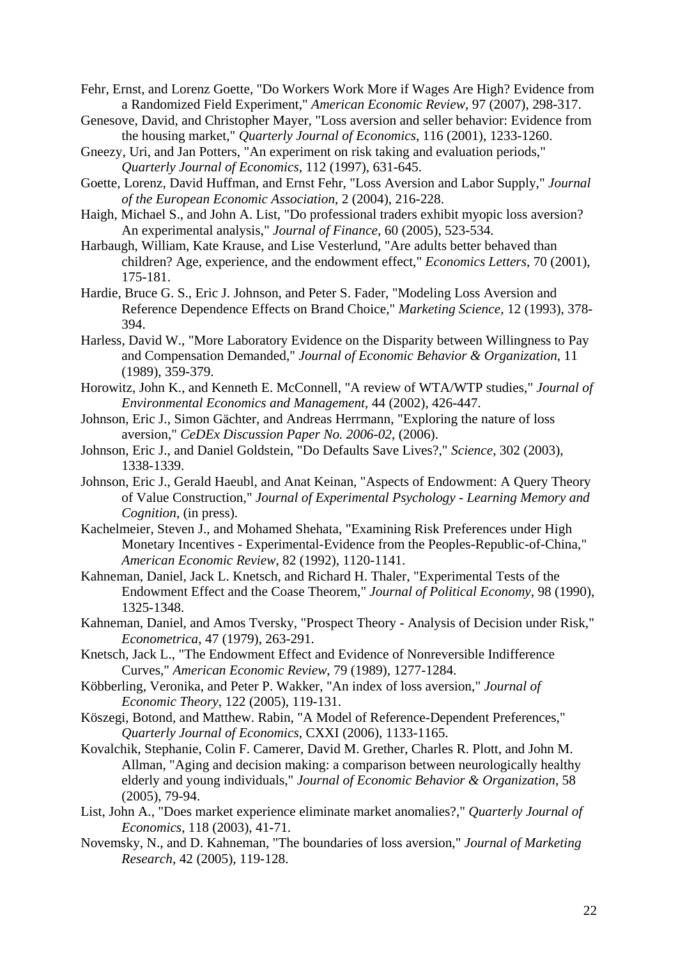Fehr, Ernst, and Lorenz Goette, "Do Workers Work More if Wages Are High? Evidence from a Randomized Field Experiment," *American Economic Review*, 97 (2007), 298-317.

- Genesove, David, and Christopher Mayer, "Loss aversion and seller behavior: Evidence from the housing market," *Quarterly Journal of Economics*, 116 (2001), 1233-1260.
- Gneezy, Uri, and Jan Potters, "An experiment on risk taking and evaluation periods," *Quarterly Journal of Economics*, 112 (1997), 631-645.
- Goette, Lorenz, David Huffman, and Ernst Fehr, "Loss Aversion and Labor Supply," *Journal of the European Economic Association*, 2 (2004), 216-228.
- Haigh, Michael S., and John A. List, "Do professional traders exhibit myopic loss aversion? An experimental analysis," *Journal of Finance*, 60 (2005), 523-534.
- Harbaugh, William, Kate Krause, and Lise Vesterlund, "Are adults better behaved than children? Age, experience, and the endowment effect," *Economics Letters*, 70 (2001), 175-181.
- Hardie, Bruce G. S., Eric J. Johnson, and Peter S. Fader, "Modeling Loss Aversion and Reference Dependence Effects on Brand Choice," *Marketing Science*, 12 (1993), 378- 394.
- Harless, David W., "More Laboratory Evidence on the Disparity between Willingness to Pay and Compensation Demanded," *Journal of Economic Behavior & Organization*, 11 (1989), 359-379.
- Horowitz, John K., and Kenneth E. McConnell, "A review of WTA/WTP studies," *Journal of Environmental Economics and Management*, 44 (2002), 426-447.
- Johnson, Eric J., Simon Gächter, and Andreas Herrmann, "Exploring the nature of loss aversion," *CeDEx Discussion Paper No. 2006-02*, (2006).
- Johnson, Eric J., and Daniel Goldstein, "Do Defaults Save Lives?," *Science*, 302 (2003), 1338-1339.
- Johnson, Eric J., Gerald Haeubl, and Anat Keinan, "Aspects of Endowment: A Query Theory of Value Construction," *Journal of Experimental Psychology - Learning Memory and Cognition*, (in press).
- Kachelmeier, Steven J., and Mohamed Shehata, "Examining Risk Preferences under High Monetary Incentives - Experimental-Evidence from the Peoples-Republic-of-China," *American Economic Review*, 82 (1992), 1120-1141.
- Kahneman, Daniel, Jack L. Knetsch, and Richard H. Thaler, "Experimental Tests of the Endowment Effect and the Coase Theorem," *Journal of Political Economy*, 98 (1990), 1325-1348.
- Kahneman, Daniel, and Amos Tversky, "Prospect Theory Analysis of Decision under Risk," *Econometrica*, 47 (1979), 263-291.
- Knetsch, Jack L., "The Endowment Effect and Evidence of Nonreversible Indifference Curves," *American Economic Review*, 79 (1989), 1277-1284.
- Köbberling, Veronika, and Peter P. Wakker, "An index of loss aversion," *Journal of Economic Theory*, 122 (2005), 119-131.
- Köszegi, Botond, and Matthew. Rabin, "A Model of Reference-Dependent Preferences," *Quarterly Journal of Economics*, CXXI (2006), 1133-1165.
- Kovalchik, Stephanie, Colin F. Camerer, David M. Grether, Charles R. Plott, and John M. Allman, "Aging and decision making: a comparison between neurologically healthy elderly and young individuals," *Journal of Economic Behavior & Organization*, 58 (2005), 79-94.
- List, John A., "Does market experience eliminate market anomalies?," *Quarterly Journal of Economics*, 118 (2003), 41-71.
- Novemsky, N., and D. Kahneman, "The boundaries of loss aversion," *Journal of Marketing Research*, 42 (2005), 119-128.